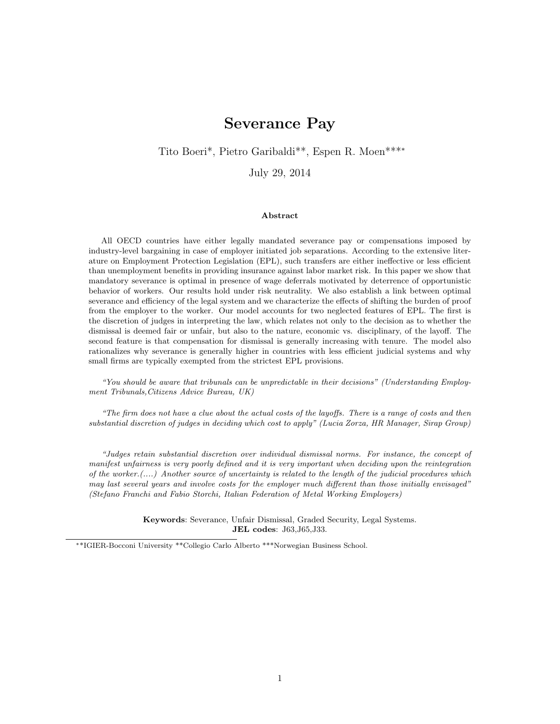# Severance Pay

Tito Boeri\*, Pietro Garibaldi\*\*, Espen R. Moen\*\*\*<sup>∗</sup>

July 29, 2014

#### Abstract

All OECD countries have either legally mandated severance pay or compensations imposed by industry-level bargaining in case of employer initiated job separations. According to the extensive literature on Employment Protection Legislation (EPL), such transfers are either ineffective or less efficient than unemployment benefits in providing insurance against labor market risk. In this paper we show that mandatory severance is optimal in presence of wage deferrals motivated by deterrence of opportunistic behavior of workers. Our results hold under risk neutrality. We also establish a link between optimal severance and efficiency of the legal system and we characterize the effects of shifting the burden of proof from the employer to the worker. Our model accounts for two neglected features of EPL. The first is the discretion of judges in interpreting the law, which relates not only to the decision as to whether the dismissal is deemed fair or unfair, but also to the nature, economic vs. disciplinary, of the layoff. The second feature is that compensation for dismissal is generally increasing with tenure. The model also rationalizes why severance is generally higher in countries with less efficient judicial systems and why small firms are typically exempted from the strictest EPL provisions.

"You should be aware that tribunals can be unpredictable in their decisions" (Understanding Employment Tribunals,Citizens Advice Bureau, UK)

"The firm does not have a clue about the actual costs of the layoffs. There is a range of costs and then substantial discretion of judges in deciding which cost to apply" (Lucia Zorza, HR Manager, Sirap Group)

"Judges retain substantial discretion over individual dismissal norms. For instance, the concept of manifest unfairness is very poorly defined and it is very important when deciding upon the reintegration of the worker.(....) Another source of uncertainty is related to the length of the judicial procedures which may last several years and involve costs for the employer much different than those initially envisaged" (Stefano Franchi and Fabio Storchi, Italian Federation of Metal Working Employers)

> Keywords: Severance, Unfair Dismissal, Graded Security, Legal Systems. JEL codes: J63,J65,J33.

<sup>∗</sup>\*IGIER-Bocconi University \*\*Collegio Carlo Alberto \*\*\*Norwegian Business School.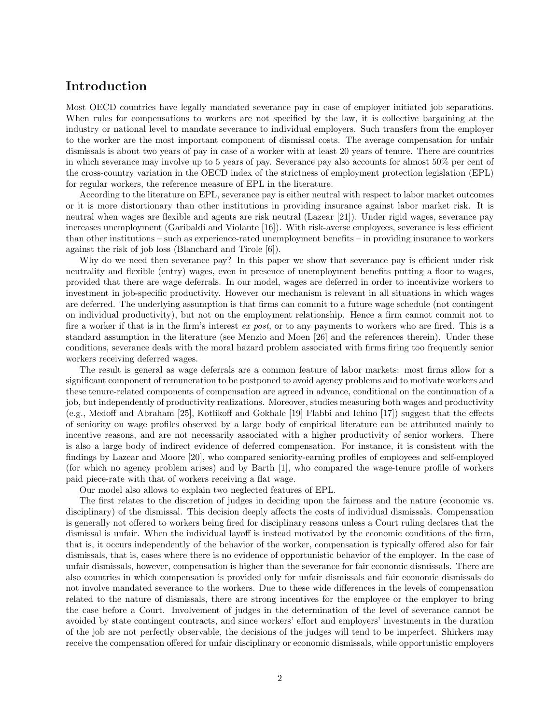# Introduction

Most OECD countries have legally mandated severance pay in case of employer initiated job separations. When rules for compensations to workers are not specified by the law, it is collective bargaining at the industry or national level to mandate severance to individual employers. Such transfers from the employer to the worker are the most important component of dismissal costs. The average compensation for unfair dismissals is about two years of pay in case of a worker with at least 20 years of tenure. There are countries in which severance may involve up to 5 years of pay. Severance pay also accounts for almost 50% per cent of the cross-country variation in the OECD index of the strictness of employment protection legislation (EPL) for regular workers, the reference measure of EPL in the literature.

According to the literature on EPL, severance pay is either neutral with respect to labor market outcomes or it is more distortionary than other institutions in providing insurance against labor market risk. It is neutral when wages are flexible and agents are risk neutral (Lazear [21]). Under rigid wages, severance pay increases unemployment (Garibaldi and Violante [16]). With risk-averse employees, severance is less efficient than other institutions – such as experience-rated unemployment benefits – in providing insurance to workers against the risk of job loss (Blanchard and Tirole [6]).

Why do we need then severance pay? In this paper we show that severance pay is efficient under risk neutrality and flexible (entry) wages, even in presence of unemployment benefits putting a floor to wages, provided that there are wage deferrals. In our model, wages are deferred in order to incentivize workers to investment in job-specific productivity. However our mechanism is relevant in all situations in which wages are deferred. The underlying assumption is that firms can commit to a future wage schedule (not contingent on individual productivity), but not on the employment relationship. Hence a firm cannot commit not to fire a worker if that is in the firm's interest ex post, or to any payments to workers who are fired. This is a standard assumption in the literature (see Menzio and Moen [26] and the references therein). Under these conditions, severance deals with the moral hazard problem associated with firms firing too frequently senior workers receiving deferred wages.

The result is general as wage deferrals are a common feature of labor markets: most firms allow for a significant component of remuneration to be postponed to avoid agency problems and to motivate workers and these tenure-related components of compensation are agreed in advance, conditional on the continuation of a job, but independently of productivity realizations. Moreover, studies measuring both wages and productivity (e.g., Medoff and Abraham [25], Kotlikoff and Gokhale [19] Flabbi and Ichino [17]) suggest that the effects of seniority on wage profiles observed by a large body of empirical literature can be attributed mainly to incentive reasons, and are not necessarily associated with a higher productivity of senior workers. There is also a large body of indirect evidence of deferred compensation. For instance, it is consistent with the findings by Lazear and Moore [20], who compared seniority-earning profiles of employees and self-employed (for which no agency problem arises) and by Barth [1], who compared the wage-tenure profile of workers paid piece-rate with that of workers receiving a flat wage.

Our model also allows to explain two neglected features of EPL.

The first relates to the discretion of judges in deciding upon the fairness and the nature (economic vs. disciplinary) of the dismissal. This decision deeply affects the costs of individual dismissals. Compensation is generally not offered to workers being fired for disciplinary reasons unless a Court ruling declares that the dismissal is unfair. When the individual layoff is instead motivated by the economic conditions of the firm, that is, it occurs independently of the behavior of the worker, compensation is typically offered also for fair dismissals, that is, cases where there is no evidence of opportunistic behavior of the employer. In the case of unfair dismissals, however, compensation is higher than the severance for fair economic dismissals. There are also countries in which compensation is provided only for unfair dismissals and fair economic dismissals do not involve mandated severance to the workers. Due to these wide differences in the levels of compensation related to the nature of dismissals, there are strong incentives for the employee or the employer to bring the case before a Court. Involvement of judges in the determination of the level of severance cannot be avoided by state contingent contracts, and since workers' effort and employers' investments in the duration of the job are not perfectly observable, the decisions of the judges will tend to be imperfect. Shirkers may receive the compensation offered for unfair disciplinary or economic dismissals, while opportunistic employers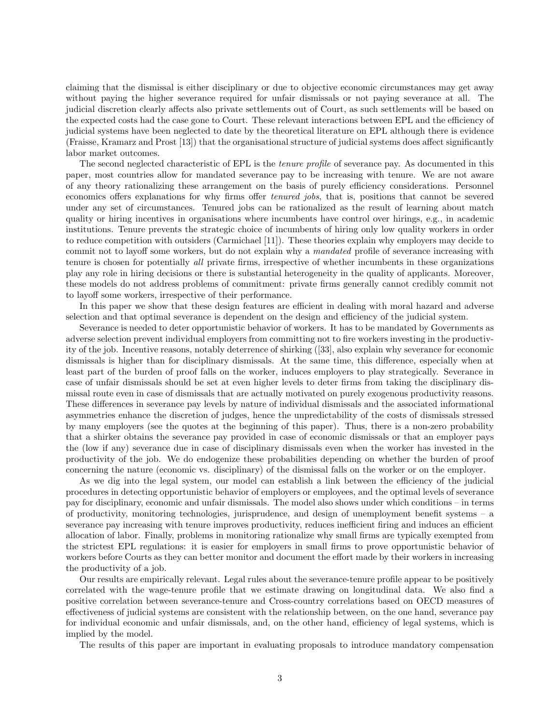claiming that the dismissal is either disciplinary or due to objective economic circumstances may get away without paying the higher severance required for unfair dismissals or not paying severance at all. The judicial discretion clearly affects also private settlements out of Court, as such settlements will be based on the expected costs had the case gone to Court. These relevant interactions between EPL and the efficiency of judicial systems have been neglected to date by the theoretical literature on EPL although there is evidence (Fraisse, Kramarz and Prost [13]) that the organisational structure of judicial systems does affect significantly labor market outcomes.

The second neglected characteristic of EPL is the *tenure profile* of severance pay. As documented in this paper, most countries allow for mandated severance pay to be increasing with tenure. We are not aware of any theory rationalizing these arrangement on the basis of purely efficiency considerations. Personnel economics offers explanations for why firms offer tenured jobs, that is, positions that cannot be severed under any set of circumstances. Tenured jobs can be rationalized as the result of learning about match quality or hiring incentives in organisations where incumbents have control over hirings, e.g., in academic institutions. Tenure prevents the strategic choice of incumbents of hiring only low quality workers in order to reduce competition with outsiders (Carmichael [11]). These theories explain why employers may decide to commit not to layoff some workers, but do not explain why a mandated profile of severance increasing with tenure is chosen for potentially all private firms, irrespective of whether incumbents in these organizations play any role in hiring decisions or there is substantial heterogeneity in the quality of applicants. Moreover, these models do not address problems of commitment: private firms generally cannot credibly commit not to layoff some workers, irrespective of their performance.

In this paper we show that these design features are efficient in dealing with moral hazard and adverse selection and that optimal severance is dependent on the design and efficiency of the judicial system.

Severance is needed to deter opportunistic behavior of workers. It has to be mandated by Governments as adverse selection prevent individual employers from committing not to fire workers investing in the productivity of the job. Incentive reasons, notably deterrence of shirking ([33], also explain why severance for economic dismissals is higher than for disciplinary dismissals. At the same time, this difference, especially when at least part of the burden of proof falls on the worker, induces employers to play strategically. Severance in case of unfair dismissals should be set at even higher levels to deter firms from taking the disciplinary dismissal route even in case of dismissals that are actually motivated on purely exogenous productivity reasons. These differences in severance pay levels by nature of individual dismissals and the associated informational asymmetries enhance the discretion of judges, hence the unpredictability of the costs of dismissals stressed by many employers (see the quotes at the beginning of this paper). Thus, there is a non-zero probability that a shirker obtains the severance pay provided in case of economic dismissals or that an employer pays the (low if any) severance due in case of disciplinary dismissals even when the worker has invested in the productivity of the job. We do endogenize these probabilities depending on whether the burden of proof concerning the nature (economic vs. disciplinary) of the dismissal falls on the worker or on the employer.

As we dig into the legal system, our model can establish a link between the efficiency of the judicial procedures in detecting opportunistic behavior of employers or employees, and the optimal levels of severance pay for disciplinary, economic and unfair dismissals. The model also shows under which conditions – in terms of productivity, monitoring technologies, jurisprudence, and design of unemployment benefit systems – a severance pay increasing with tenure improves productivity, reduces inefficient firing and induces an efficient allocation of labor. Finally, problems in monitoring rationalize why small firms are typically exempted from the strictest EPL regulations: it is easier for employers in small firms to prove opportunistic behavior of workers before Courts as they can better monitor and document the effort made by their workers in increasing the productivity of a job.

Our results are empirically relevant. Legal rules about the severance-tenure profile appear to be positively correlated with the wage-tenure profile that we estimate drawing on longitudinal data. We also find a positive correlation between severance-tenure and Cross-country correlations based on OECD measures of effectiveness of judicial systems are consistent with the relationship between, on the one hand, severance pay for individual economic and unfair dismissals, and, on the other hand, efficiency of legal systems, which is implied by the model.

The results of this paper are important in evaluating proposals to introduce mandatory compensation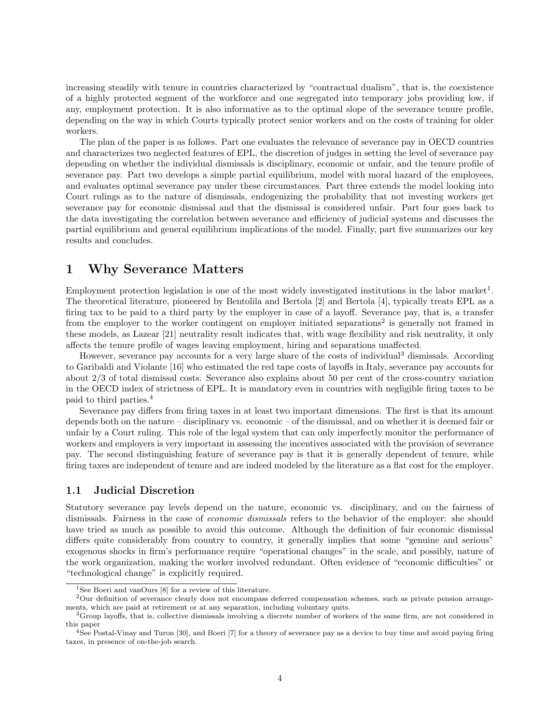increasing steadily with tenure in countries characterized by "contractual dualism", that is, the coexistence of a highly protected segment of the workforce and one segregated into temporary jobs providing low, if any, employment protection. It is also informative as to the optimal slope of the severance tenure profile, depending on the way in which Courts typically protect senior workers and on the costs of training for older workers.

The plan of the paper is as follows. Part one evaluates the relevance of severance pay in OECD countries and characterizes two neglected features of EPL, the discretion of judges in setting the level of severance pay depending on whether the individual dismissals is disciplinary, economic or unfair, and the tenure profile of severance pay. Part two develops a simple partial equilibrium, model with moral hazard of the employees, and evaluates optimal severance pay under these circumstances. Part three extends the model looking into Court rulings as to the nature of dismissals, endogenizing the probability that not investing workers get severance pay for economic dismissal and that the dismissal is considered unfair. Part four goes back to the data investigating the correlation between severance and efficiency of judicial systems and discusses the partial equilibrium and general equilibrium implications of the model. Finally, part five summarizes our key results and concludes.

# 1 Why Severance Matters

Employment protection legislation is one of the most widely investigated institutions in the labor market<sup>1</sup>. The theoretical literature, pioneered by Bentolila and Bertola [2] and Bertola [4], typically treats EPL as a firing tax to be paid to a third party by the employer in case of a layoff. Severance pay, that is, a transfer from the employer to the worker contingent on employer initiated separations<sup>2</sup> is generally not framed in these models, as Lazear [21] neutrality result indicates that, with wage flexibility and risk neutrality, it only affects the tenure profile of wages leaving employment, hiring and separations unaffected.

However, severance pay accounts for a very large share of the costs of individual<sup>3</sup> dismissals. According to Garibaldi and Violante [16] who estimated the red tape costs of layoffs in Italy, severance pay accounts for about 2/3 of total dismissal costs. Severance also explains about 50 per cent of the cross-country variation in the OECD index of strictness of EPL. It is mandatory even in countries with negligible firing taxes to be paid to third parties.<sup>4</sup>

Severance pay differs from firing taxes in at least two important dimensions. The first is that its amount depends both on the nature – disciplinary vs. economic – of the dismissal, and on whether it is deemed fair or unfair by a Court ruling. This role of the legal system that can only imperfectly monitor the performance of workers and employers is very important in assessing the incentives associated with the provision of severance pay. The second distinguishing feature of severance pay is that it is generally dependent of tenure, while firing taxes are independent of tenure and are indeed modeled by the literature as a flat cost for the employer.

### 1.1 Judicial Discretion

Statutory severance pay levels depend on the nature, economic vs. disciplinary, and on the fairness of dismissals. Fairness in the case of economic dismissals refers to the behavior of the employer: she should have tried as much as possible to avoid this outcome. Although the definition of fair economic dismissal differs quite considerably from country to country, it generally implies that some "genuine and serious" exogenous shocks in firm's performance require "operational changes" in the scale, and possibly, nature of the work organization, making the worker involved redundant. Often evidence of "economic difficulties" or "technological change" is explicitly required.

<sup>&</sup>lt;sup>1</sup>See Boeri and vanOurs [8] for a review of this literature.

<sup>2</sup>Our definition of severance clearly does not encompass deferred compensation schemes, such as private pension arrangements, which are paid at retirement or at any separation, including voluntary quits.

<sup>3</sup>Group layoffs, that is, collective dismissals involving a discrete number of workers of the same firm, are not considered in this paper

<sup>4</sup>See Postal-Vinay and Turon [30], and Boeri [7] for a theory of severance pay as a device to buy time and avoid paying firing taxes, in presence of on-the-job search.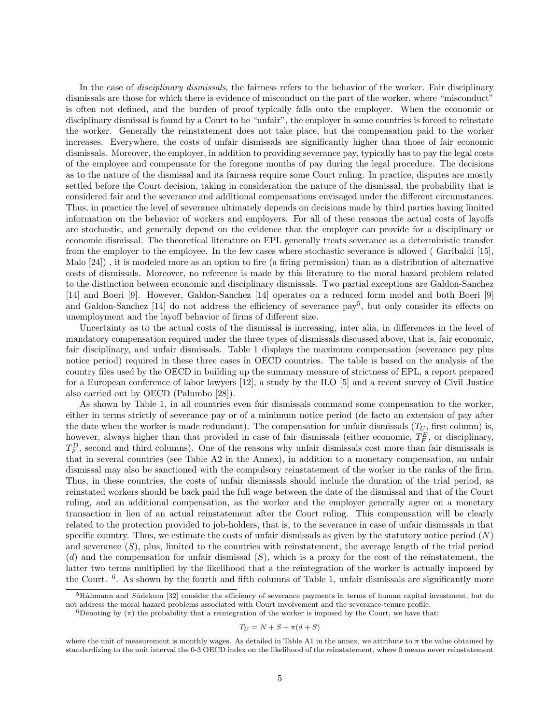In the case of *disciplinary dismissals*, the fairness refers to the behavior of the worker. Fair disciplinary dismissals are those for which there is evidence of misconduct on the part of the worker, where "misconduct" is often not defined, and the burden of proof typically falls onto the employer. When the economic or disciplinary dismissal is found by a Court to be "unfair", the employer in some countries is forced to reinstate the worker. Generally the reinstatement does not take place, but the compensation paid to the worker increases. Everywhere, the costs of unfair dismissals are significantly higher than those of fair economic dismissals. Moreover, the employer, in addition to providing severance pay, typically has to pay the legal costs of the employee and compensate for the foregone months of pay during the legal procedure. The decisions as to the nature of the dismissal and its fairness require some Court ruling. In practice, disputes are mostly settled before the Court decision, taking in consideration the nature of the dismissal, the probability that is considered fair and the severance and additional compensations envisaged under the different circumstances. Thus, in practice the level of severance ultimately depends on decisions made by third parties having limited information on the behavior of workers and employers. For all of these reasons the actual costs of layoffs are stochastic, and generally depend on the evidence that the employer can provide for a disciplinary or economic dismissal. The theoretical literature on EPL generally treats severance as a deterministic transfer from the employer to the employee. In the few cases where stochastic severance is allowed ( Garibaldi [15], Malo [24]) , it is modeled more as an option to fire (a firing permission) than as a distribution of alternative costs of dismissals. Moreover, no reference is made by this literature to the moral hazard problem related to the distinction between economic and disciplinary dismissals. Two partial exceptions are Galdon-Sanchez [14] and Boeri [9]. However, Galdon-Sanchez [14] operates on a reduced form model and both Boeri [9] and Galdon-Sanchez [14] do not address the efficiency of severance pay<sup>5</sup>, but only consider its effects on unemployment and the layoff behavior of firms of different size.

Uncertainty as to the actual costs of the dismissal is increasing, inter alia, in differences in the level of mandatory compensation required under the three types of dismissals discussed above, that is, fair economic, fair disciplinary, and unfair dismissals. Table 1 displays the maximum compensation (severance pay plus notice period) required in these three cases in OECD countries. The table is based on the analysis of the country files used by the OECD in building up the summary measure of strictness of EPL, a report prepared for a European conference of labor lawyers [12], a study by the ILO [5] and a recent survey of Civil Justice also carried out by OECD (Palumbo [28]).

As shown by Table 1, in all countries even fair dismissals command some compensation to the worker, either in terms strictly of severance pay or of a minimum notice period (de facto an extension of pay after the date when the worker is made redundant). The compensation for unfair dismissals  $(T_U)$ , first column) is, however, always higher than that provided in case of fair dismissals (either economic,  $T_F^E$ , or disciplinary,  $T_F^D$ , second and third columns). One of the reasons why unfair dismissals cost more than fair dismissals is that in several countries (see Table A2 in the Annex), in addition to a monetary compensation, an unfair dismissal may also be sanctioned with the compulsory reinstatement of the worker in the ranks of the firm. Thus, in these countries, the costs of unfair dismissals should include the duration of the trial period, as reinstated workers should be back paid the full wage between the date of the dismissal and that of the Court ruling, and an additional compensation, as the worker and the employer generally agree on a monetary transaction in lieu of an actual reinstatement after the Court ruling. This compensation will be clearly related to the protection provided to job-holders, that is, to the severance in case of unfair dismissals in that specific country. Thus, we estimate the costs of unfair dismissals as given by the statutory notice period  $(N)$ and severance  $(S)$ , plus, limited to the countries with reinstatement, the average length of the trial period (d) and the compensation for unfair dismissal  $(S)$ , which is a proxy for the cost of the reinstatement, the latter two terms multiplied by the likelihood that a the reintegration of the worker is actually imposed by the Court. <sup>6</sup>. As shown by the fourth and fifth columns of Table 1, unfair dismissals are significantly more

$$
T_U = N + S + \pi(d + S)
$$

 $5R<sub>u</sub>$  hmann and Sudekum [32] consider the efficiency of severance payments in terms of human capital investment, but do not address the moral hazard problems associated with Court involvement and the severance-tenure profile.

<sup>&</sup>lt;sup>6</sup>Denoting by  $(\pi)$  the probability that a reintegration of the worker is imposed by the Court, we have that:

where the unit of measurement is monthly wages. As detailed in Table A1 in the annex, we attribute to  $\pi$  the value obtained by standardizing to the unit interval the 0-3 OECD index on the likelihood of the reinstatement, where 0 means never reinstatement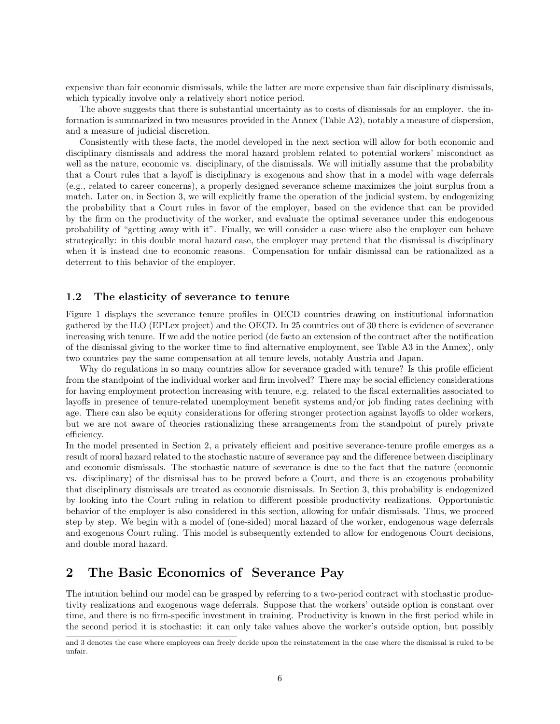expensive than fair economic dismissals, while the latter are more expensive than fair disciplinary dismissals, which typically involve only a relatively short notice period.

The above suggests that there is substantial uncertainty as to costs of dismissals for an employer. the information is summarized in two measures provided in the Annex (Table A2), notably a measure of dispersion, and a measure of judicial discretion.

Consistently with these facts, the model developed in the next section will allow for both economic and disciplinary dismissals and address the moral hazard problem related to potential workers' misconduct as well as the nature, economic vs. disciplinary, of the dismissals. We will initially assume that the probability that a Court rules that a layoff is disciplinary is exogenous and show that in a model with wage deferrals (e.g., related to career concerns), a properly designed severance scheme maximizes the joint surplus from a match. Later on, in Section 3, we will explicitly frame the operation of the judicial system, by endogenizing the probability that a Court rules in favor of the employer, based on the evidence that can be provided by the firm on the productivity of the worker, and evaluate the optimal severance under this endogenous probability of "getting away with it". Finally, we will consider a case where also the employer can behave strategically: in this double moral hazard case, the employer may pretend that the dismissal is disciplinary when it is instead due to economic reasons. Compensation for unfair dismissal can be rationalized as a deterrent to this behavior of the employer.

### 1.2 The elasticity of severance to tenure

Figure 1 displays the severance tenure profiles in OECD countries drawing on institutional information gathered by the ILO (EPLex project) and the OECD. In 25 countries out of 30 there is evidence of severance increasing with tenure. If we add the notice period (de facto an extension of the contract after the notification of the dismissal giving to the worker time to find alternative employment, see Table A3 in the Annex), only two countries pay the same compensation at all tenure levels, notably Austria and Japan.

Why do regulations in so many countries allow for severance graded with tenure? Is this profile efficient from the standpoint of the individual worker and firm involved? There may be social efficiency considerations for having employment protection increasing with tenure, e.g. related to the fiscal externalities associated to layoffs in presence of tenure-related unemployment benefit systems and/or job finding rates declining with age. There can also be equity considerations for offering stronger protection against layoffs to older workers, but we are not aware of theories rationalizing these arrangements from the standpoint of purely private efficiency.

In the model presented in Section 2, a privately efficient and positive severance-tenure profile emerges as a result of moral hazard related to the stochastic nature of severance pay and the difference between disciplinary and economic dismissals. The stochastic nature of severance is due to the fact that the nature (economic vs. disciplinary) of the dismissal has to be proved before a Court, and there is an exogenous probability that disciplinary dismissals are treated as economic dismissals. In Section 3, this probability is endogenized by looking into the Court ruling in relation to different possible productivity realizations. Opportunistic behavior of the employer is also considered in this section, allowing for unfair dismissals. Thus, we proceed step by step. We begin with a model of (one-sided) moral hazard of the worker, endogenous wage deferrals and exogenous Court ruling. This model is subsequently extended to allow for endogenous Court decisions, and double moral hazard.

# 2 The Basic Economics of Severance Pay

The intuition behind our model can be grasped by referring to a two-period contract with stochastic productivity realizations and exogenous wage deferrals. Suppose that the workers' outside option is constant over time, and there is no firm-specific investment in training. Productivity is known in the first period while in the second period it is stochastic: it can only take values above the worker's outside option, but possibly

and 3 denotes the case where employees can freely decide upon the reinstatement in the case where the dismissal is ruled to be unfair.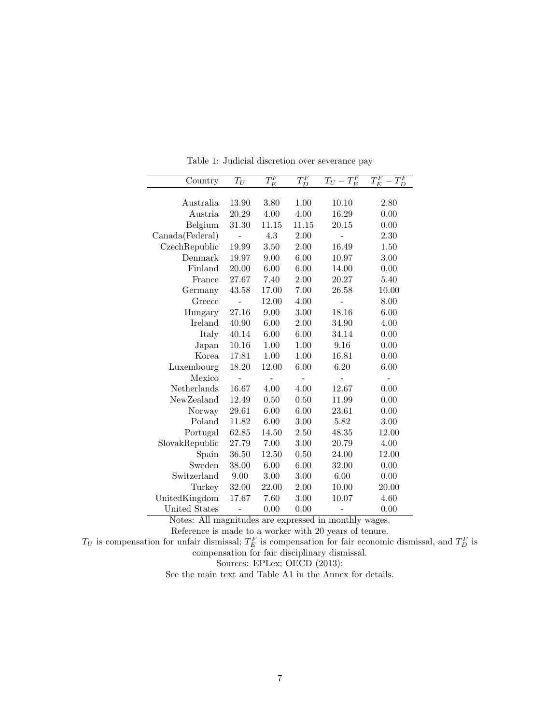| Country         | $T_U$ | $T_E^F$ | $T_D^F$ | $T_U-T_E^F$ | $T_E^F$ |
|-----------------|-------|---------|---------|-------------|---------|
|                 |       |         |         |             |         |
| Australia       | 13.90 | 3.80    | 1.00    | 10.10       | 2.80    |
| Austria         | 20.29 | 4.00    | 4.00    | 16.29       | 0.00    |
| Belgium         | 31.30 | 11.15   | 11.15   | 20.15       | 0.00    |
| Canada(Federal) |       | 4.3     | 2.00    |             | 2.30    |
| CzechRepublic   | 19.99 | 3.50    | 2.00    | 16.49       | 1.50    |
| Denmark         | 19.97 | 9.00    | 6.00    | 10.97       | 3.00    |
| Finland         | 20.00 | 6.00    | 6.00    | 14.00       | 0.00    |
| France          | 27.67 | 7.40    | 2.00    | 20.27       | 5.40    |
| Germany         | 43.58 | 17.00   | 7.00    | 26.58       | 10.00   |
| Greece          |       | 12.00   | 4.00    |             | 8.00    |
| Hungary         | 27.16 | 9.00    | 3.00    | 18.16       | 6.00    |
| Ireland         | 40.90 | 6.00    | 2.00    | 34.90       | 4.00    |
| Italy           | 40.14 | 6.00    | 6.00    | 34.14       | 0.00    |
| Japan           | 10.16 | 1.00    | 1.00    | 9.16        | 0.00    |
| Korea           | 17.81 | 1.00    | 1.00    | 16.81       | 0.00    |
| Luxembourg      | 18.20 | 12.00   | 6.00    | 6.20        | 6.00    |
| Mexico          |       |         |         |             |         |
| Netherlands     | 16.67 | 4.00    | 4.00    | 12.67       | 0.00    |
| NewZealand      | 12.49 | 0.50    | 0.50    | 11.99       | 0.00    |
| Norway          | 29.61 | 6.00    | 6.00    | 23.61       | 0.00    |
| Poland          | 11.82 | 6.00    | 3.00    | 5.82        | 3.00    |
| Portugal        | 62.85 | 14.50   | 2.50    | 48.35       | 12.00   |
| SlovakRepublic  | 27.79 | 7.00    | 3.00    | 20.79       | 4.00    |
| Spain           | 36.50 | 12.50   | 0.50    | 24.00       | 12.00   |
| Sweden          | 38.00 | 6.00    | 6.00    | 32.00       | 0.00    |
| Switzerland     | 9.00  | 3.00    | 3.00    | 6.00        | 0.00    |
| Turkey          | 32.00 | 22.00   | 2.00    | 10.00       | 20.00   |
| UnitedKingdom   | 17.67 | 7.60    | 3.00    | 10.07       | 4.60    |
| United States   |       | 0.00    | 0.00    |             | 0.00    |

Table 1: Judicial discretion over severance pay

Notes: All magnitudes are expressed in monthly wages.

Reference is made to a worker with 20 years of tenure.

 $T_U$  is compensation for unfair dismissal;  $T_E^F$  is compensation for fair economic dismissal, and  $T_D^F$  is

compensation for fair disciplinary dismissal.

Sources: EPLex; OECD  $(2013)$ ;

See the main text and Table A1 in the Annex for details.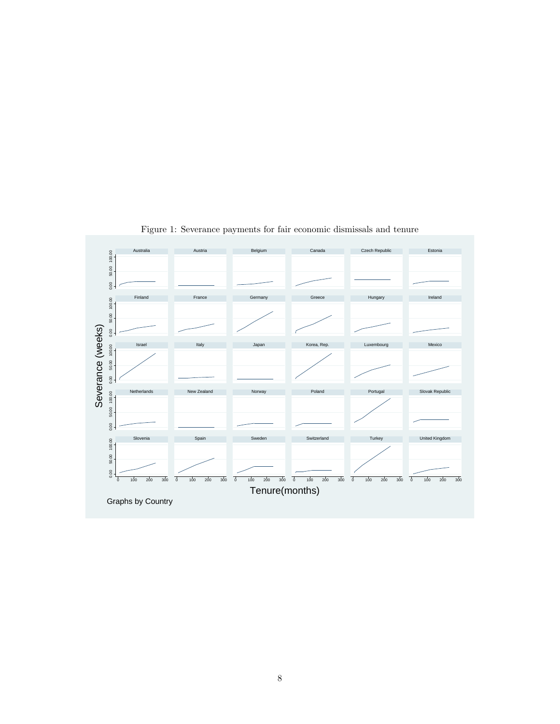

Figure 1: Severance payments for fair economic dismissals and tenure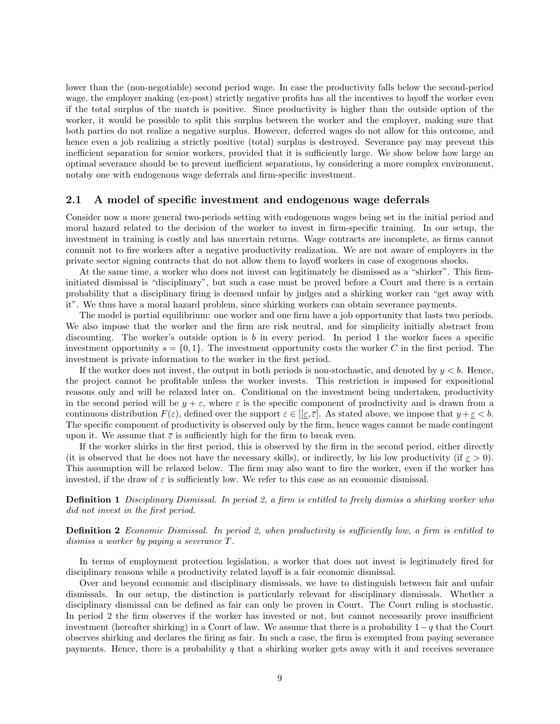lower than the (non-negotiable) second period wage. In case the productivity falls below the second-period wage, the employer making (ex-post) strictly negative profits has all the incentives to layoff the worker even if the total surplus of the match is positive. Since productivity is higher than the outside option of the worker, it would be possible to split this surplus between the worker and the employer, making sure that both parties do not realize a negative surplus. However, deferred wages do not allow for this outcome, and hence even a job realizing a strictly positive (total) surplus is destroyed. Severance pay may prevent this inefficient separation for senior workers, provided that it is sufficiently large. We show below how large an optimal severance should be to prevent inefficient separations, by considering a more complex environment, notaby one with endogenous wage deferrals and firm-specific investment.

#### 2.1 A model of specific investment and endogenous wage deferrals

Consider now a more general two-periods setting with endogenous wages being set in the initial period and moral hazard related to the decision of the worker to invest in firm-specific training. In our setup, the investment in training is costly and has uncertain returns. Wage contracts are incomplete, as firms cannot commit not to fire workers after a negative productivity realization. We are not aware of employers in the private sector signing contracts that do not allow them to layoff workers in case of exogenous shocks.

At the same time, a worker who does not invest can legitimately be dismissed as a "shirker". This firminitiated dismissal is "disciplinary", but such a case must be proved before a Court and there is a certain probability that a disciplinary firing is deemed unfair by judges and a shirking worker can "get away with it". We thus have a moral hazard problem, since shirking workers can obtain severance payments.

The model is partial equilibrium: one worker and one firm have a job opportunity that lasts two periods. We also impose that the worker and the firm are risk neutral, and for simplicity initially abstract from discounting. The worker's outside option is b in every period. In period 1 the worker faces a specific investment opportunity  $s = \{0, 1\}$ . The investment opportunity costs the worker C in the first period. The investment is private information to the worker in the first period.

If the worker does not invest, the output in both periods is non-stochastic, and denoted by  $y < b$ . Hence, the project cannot be profitable unless the worker invests. This restriction is imposed for expositional reasons only and will be relaxed later on. Conditional on the investment being undertaken, productivity in the second period will be  $y + \varepsilon$ , where  $\varepsilon$  is the specific component of productivity and is drawn from a continuous distribution  $F(\varepsilon)$ , defined over the support  $\varepsilon \in [[\varepsilon, \overline{\varepsilon}]]$ . As stated above, we impose that  $y + \varepsilon < b$ . The specific component of productivity is observed only by the firm, hence wages cannot be made contingent upon it. We assume that  $\bar{\varepsilon}$  is sufficiently high for the firm to break even.

If the worker shirks in the first period, this is observed by the firm in the second period, either directly (it is observed that he does not have the necessary skills), or indirectly, by his low productivity (if  $\varepsilon > 0$ ). This assumption will be relaxed below. The firm may also want to fire the worker, even if the worker has invested, if the draw of  $\varepsilon$  is sufficiently low. We refer to this case as an economic dismissal.

Definition 1 Disciplinary Dismissal. In period 2, a firm is entitled to freely dismiss a shirking worker who did not invest in the first period.

#### **Definition 2** Economic Dismissal. In period 2, when productivity is sufficiently low, a firm is entitled to dismiss a worker by paying a severance T.

In terms of employment protection legislation, a worker that does not invest is legitimately fired for disciplinary reasons while a productivity related layoff is a fair economic dismissal.

Over and beyond economic and disciplinary dismissals, we have to distinguish between fair and unfair dismissals. In our setup, the distinction is particularly relevant for disciplinary dismissals. Whether a disciplinary dismissal can be defined as fair can only be proven in Court. The Court ruling is stochastic. In period 2 the firm observes if the worker has invested or not, but cannot necessarily prove insufficient investment (hereafter shirking) in a Court of law. We assume that there is a probability  $1 - q$  that the Court observes shirking and declares the firing as fair. In such a case, the firm is exempted from paying severance payments. Hence, there is a probability  $q$  that a shirking worker gets away with it and receives severance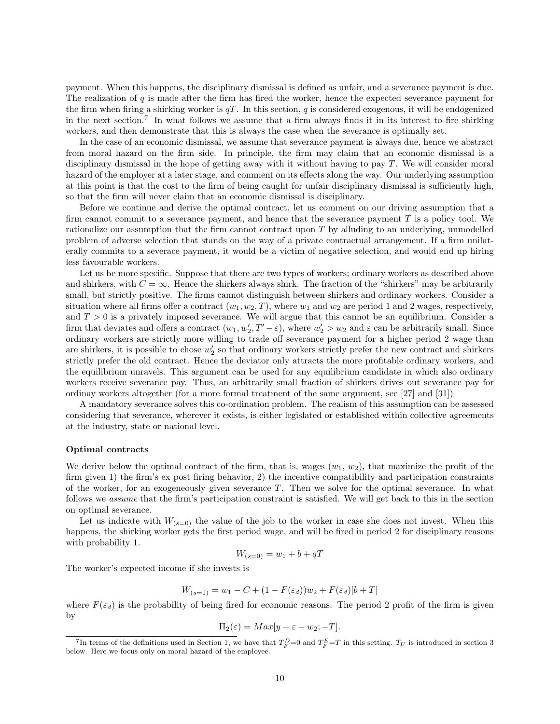payment. When this happens, the disciplinary dismissal is defined as unfair, and a severance payment is due. The realization of  $q$  is made after the firm has fired the worker, hence the expected severance payment for the firm when firing a shirking worker is  $qT$ . In this section, q is considered exogenous, it will be endogenized in the next section.<sup>7</sup> In what follows we assume that a firm always finds it in its interest to fire shirking workers, and then demonstrate that this is always the case when the severance is optimally set.

In the case of an economic dismissal, we assume that severance payment is always due, hence we abstract from moral hazard on the firm side. In principle, the firm may claim that an economic dismissal is a disciplinary dismissal in the hope of getting away with it without having to pay T. We will consider moral hazard of the employer at a later stage, and comment on its effects along the way. Our underlying assumption at this point is that the cost to the firm of being caught for unfair disciplinary dismissal is sufficiently high, so that the firm will never claim that an economic dismissal is disciplinary.

Before we continue and derive the optimal contract, let us comment on our driving assumption that a firm cannot commit to a severance payment, and hence that the severance payment  $T$  is a policy tool. We rationalize our assumption that the firm cannot contract upon T by alluding to an underlying, unmodelled problem of adverse selection that stands on the way of a private contractual arrangement. If a firm unilaterally commits to a severace payment, it would be a victim of negative selection, and would end up hiring less favourable workers.

Let us be more specific. Suppose that there are two types of workers; ordinary workers as described above and shirkers, with  $C = \infty$ . Hence the shirkers always shirk. The fraction of the "shirkers" may be arbitrarily small, but strictly positive. The firms cannot distinguish between shirkers and ordinary workers. Consider a situation where all firms offer a contract  $(w_1, w_2, T)$ , where  $w_1$  and  $w_2$  are period 1 and 2 wages, respectively, and  $T > 0$  is a privately imposed severance. We will argue that this cannot be an equilibrium. Consider a firm that deviates and offers a contract  $(w_1, w'_2, T' - \varepsilon)$ , where  $w'_2 > w_2$  and  $\varepsilon$  can be arbitrarily small. Since ordinary workers are strictly more willing to trade off severance payment for a higher period 2 wage than are shirkers, it is possible to chose  $w_2'$  so that ordinary workers strictly prefer the new contract and shirkers strictly prefer the old contract. Hence the deviator only attracts the more profitable ordinary workers, and the equilibrium unravels. This argument can be used for any equilibrium candidate in which also ordinary workers receive severance pay. Thus, an arbitrarily small fraction of shirkers drives out severance pay for ordinay workers altogether (for a more formal treatment of the same argument, see [27] and [31])

A mandatory severance solves this co-ordination problem. The realism of this assumption can be assessed considering that severance, wherever it exists, is either legislated or established within collective agreements at the industry, state or national level.

#### Optimal contracts

We derive below the optimal contract of the firm, that is, wages  $(w_1, w_2)$ , that maximize the profit of the firm given 1) the firm's ex post firing behavior, 2) the incentive compatibility and participation constraints of the worker, for an exogeneously given severance  $T$ . Then we solve for the optimal severance. In what follows we assume that the firm's participation constraint is satisfied. We will get back to this in the section on optimal severance.

Let us indicate with  $W_{(s=0)}$  the value of the job to the worker in case she does not invest. When this happens, the shirking worker gets the first period wage, and will be fired in period 2 for disciplinary reasons with probability 1.

$$
W_{(s=0)} = w_1 + b + qT
$$

The worker's expected income if she invests is

$$
W_{(s=1)} = w_1 - C + (1 - F(\varepsilon_d))w_2 + F(\varepsilon_d)[b+T]
$$

where  $F(\varepsilon_d)$  is the probability of being fired for economic reasons. The period 2 profit of the firm is given by

$$
\Pi_2(\varepsilon) = Max[y + \varepsilon - w_2; -T].
$$

<sup>&</sup>lt;sup>7</sup>In terms of the definitions used in Section 1, we have that  $T_F^D=0$  and  $T_F^E=T$  in this setting.  $T_U$  is introduced in section 3 below. Here we focus only on moral hazard of the employee.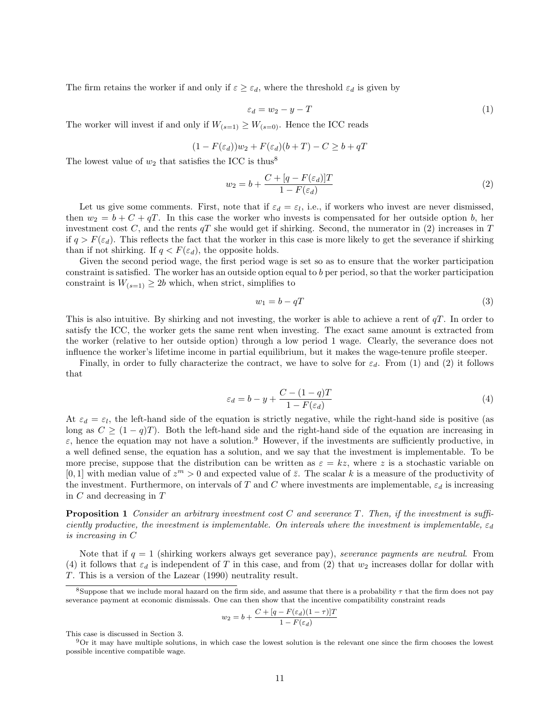The firm retains the worker if and only if  $\varepsilon \geq \varepsilon_d$ , where the threshold  $\varepsilon_d$  is given by

$$
\varepsilon_d = w_2 - y - T \tag{1}
$$

The worker will invest if and only if  $W_{(s=1)} \geq W_{(s=0)}$ . Hence the ICC reads

$$
(1 - F(\varepsilon_d))w_2 + F(\varepsilon_d)(b + T) - C \ge b + qT
$$

The lowest value of  $w_2$  that satisfies the ICC is thus<sup>8</sup>

$$
w_2 = b + \frac{C + [q - F(\varepsilon_d)]T}{1 - F(\varepsilon_d)}\tag{2}
$$

Let us give some comments. First, note that if  $\varepsilon_d = \varepsilon_l$ , i.e., if workers who invest are never dismissed, then  $w_2 = b + C + qT$ . In this case the worker who invests is compensated for her outside option b, her investment cost C, and the rents  $qT$  she would get if shirking. Second, the numerator in (2) increases in T if  $q > F(\varepsilon_d)$ . This reflects the fact that the worker in this case is more likely to get the severance if shirking than if not shirking. If  $q < F(\varepsilon_d)$ , the opposite holds.

Given the second period wage, the first period wage is set so as to ensure that the worker participation constraint is satisfied. The worker has an outside option equal to b per period, so that the worker participation constraint is  $W_{(s=1)} \geq 2b$  which, when strict, simplifies to

$$
w_1 = b - qT \tag{3}
$$

This is also intuitive. By shirking and not investing, the worker is able to achieve a rent of  $qT$ . In order to satisfy the ICC, the worker gets the same rent when investing. The exact same amount is extracted from the worker (relative to her outside option) through a low period 1 wage. Clearly, the severance does not influence the worker's lifetime income in partial equilibrium, but it makes the wage-tenure profile steeper.

Finally, in order to fully characterize the contract, we have to solve for  $\varepsilon_d$ . From (1) and (2) it follows that

$$
\varepsilon_d = b - y + \frac{C - (1 - q)T}{1 - F(\varepsilon_d)}\tag{4}
$$

At  $\varepsilon_d = \varepsilon_l$ , the left-hand side of the equation is strictly negative, while the right-hand side is positive (as long as  $C \geq (1 - q)T$ . Both the left-hand side and the right-hand side of the equation are increasing in  $\varepsilon$ , hence the equation may not have a solution.<sup>9</sup> However, if the investments are sufficiently productive, in a well defined sense, the equation has a solution, and we say that the investment is implementable. To be more precise, suppose that the distribution can be written as  $\varepsilon = kz$ , where z is a stochastic variable on [0, 1] with median value of  $z^m > 0$  and expected value of  $\bar{z}$ . The scalar k is a measure of the productivity of the investment. Furthermore, on intervals of T and C where investments are implementable,  $\varepsilon_d$  is increasing in  $C$  and decreasing in  $T$ 

**Proposition 1** Consider an arbitrary investment cost C and severance T. Then, if the investment is sufficiently productive, the investment is implementable. On intervals where the investment is implementable,  $\varepsilon_d$ is increasing in C

Note that if  $q = 1$  (shirking workers always get severance pay), severance payments are neutral. From (4) it follows that  $\varepsilon_d$  is independent of T in this case, and from (2) that  $w_2$  increases dollar for dollar with T. This is a version of the Lazear (1990) neutrality result.

$$
w_2 = b + \frac{C + [q - F(\varepsilon_d)(1 - \tau)]T}{1 - F(\varepsilon_d)}
$$

This case is discussed in Section 3.

 $9$ Or it may have multiple solutions, in which case the lowest solution is the relevant one since the firm chooses the lowest possible incentive compatible wage.

<sup>&</sup>lt;sup>8</sup>Suppose that we include moral hazard on the firm side, and assume that there is a probability  $\tau$  that the firm does not pay severance payment at economic dismissals. One can then show that the incentive compatibility constraint reads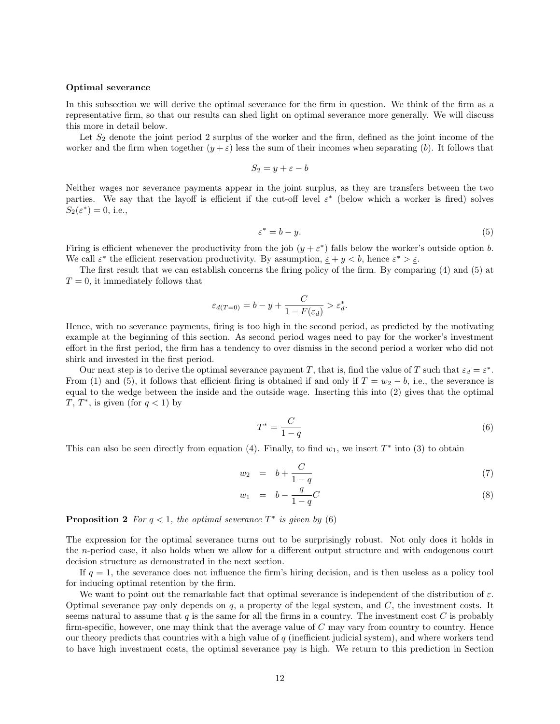#### Optimal severance

In this subsection we will derive the optimal severance for the firm in question. We think of the firm as a representative firm, so that our results can shed light on optimal severance more generally. We will discuss this more in detail below.

Let  $S_2$  denote the joint period 2 surplus of the worker and the firm, defined as the joint income of the worker and the firm when together  $(y + \varepsilon)$  less the sum of their incomes when separating (b). It follows that

$$
S_2 = y + \varepsilon - b
$$

Neither wages nor severance payments appear in the joint surplus, as they are transfers between the two parties. We say that the layoff is efficient if the cut-off level  $\varepsilon^*$  (below which a worker is fired) solves  $S_2(\varepsilon^*) = 0$ , i.e.,

$$
\varepsilon^* = b - y.\tag{5}
$$

Firing is efficient whenever the productivity from the job  $(y + \varepsilon^*)$  falls below the worker's outside option b. We call  $\varepsilon^*$  the efficient reservation productivity. By assumption,  $\varepsilon + y < b$ , hence  $\varepsilon^* > \varepsilon$ .

The first result that we can establish concerns the firing policy of the firm. By comparing (4) and (5) at  $T = 0$ , it immediately follows that

$$
\varepsilon_{d(T=0)} = b - y + \frac{C}{1 - F(\varepsilon_d)} > \varepsilon_d^*.
$$

Hence, with no severance payments, firing is too high in the second period, as predicted by the motivating example at the beginning of this section. As second period wages need to pay for the worker's investment effort in the first period, the firm has a tendency to over dismiss in the second period a worker who did not shirk and invested in the first period.

Our next step is to derive the optimal severance payment T, that is, find the value of T such that  $\varepsilon_d = \varepsilon^*$ . From (1) and (5), it follows that efficient firing is obtained if and only if  $T = w_2 - b$ , i.e., the severance is equal to the wedge between the inside and the outside wage. Inserting this into (2) gives that the optimal T,  $T^*$ , is given (for  $q < 1$ ) by

$$
T^* = \frac{C}{1-q} \tag{6}
$$

This can also be seen directly from equation (4). Finally, to find  $w_1$ , we insert  $T^*$  into (3) to obtain

$$
w_2 = b + \frac{C}{1-q} \tag{7}
$$

$$
w_1 = b - \frac{q}{1-q}C \tag{8}
$$

**Proposition 2** For  $q < 1$ , the optimal severance  $T^*$  is given by (6)

The expression for the optimal severance turns out to be surprisingly robust. Not only does it holds in the n-period case, it also holds when we allow for a different output structure and with endogenous court decision structure as demonstrated in the next section.

If  $q = 1$ , the severance does not influence the firm's hiring decision, and is then useless as a policy tool for inducing optimal retention by the firm.

We want to point out the remarkable fact that optimal severance is independent of the distribution of  $\varepsilon$ . Optimal severance pay only depends on  $q$ , a property of the legal system, and  $C$ , the investment costs. It seems natural to assume that  $q$  is the same for all the firms in a country. The investment cost  $C$  is probably firm-specific, however, one may think that the average value of  $C$  may vary from country to country. Hence our theory predicts that countries with a high value of q (inefficient judicial system), and where workers tend to have high investment costs, the optimal severance pay is high. We return to this prediction in Section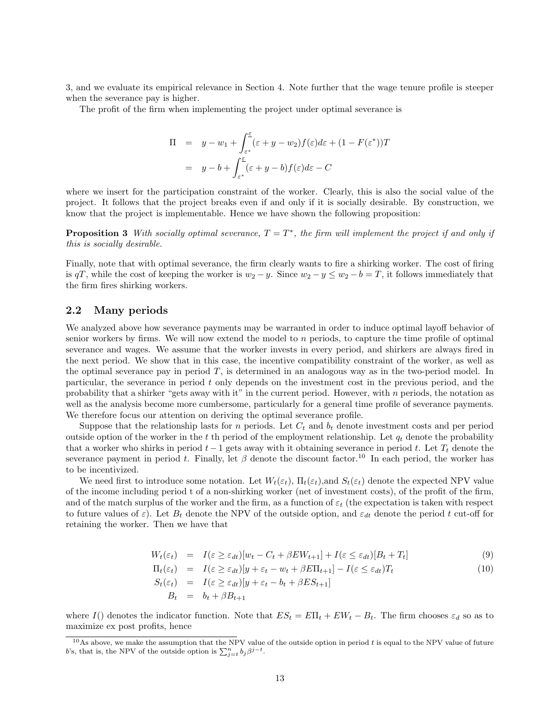3, and we evaluate its empirical relevance in Section 4. Note further that the wage tenure profile is steeper when the severance pay is higher.

The profit of the firm when implementing the project under optimal severance is

$$
\Pi = y - w_1 + \int_{\varepsilon^*}^{\varepsilon} (\varepsilon + y - w_2) f(\varepsilon) d\varepsilon + (1 - F(\varepsilon^*)) T
$$
  
=  $y - b + \int_{\varepsilon^*}^{\varepsilon} (\varepsilon + y - b) f(\varepsilon) d\varepsilon - C$ 

where we insert for the participation constraint of the worker. Clearly, this is also the social value of the project. It follows that the project breaks even if and only if it is socially desirable. By construction, we know that the project is implementable. Hence we have shown the following proposition:

**Proposition 3** With socially optimal severance,  $T = T^*$ , the firm will implement the project if and only if this is socially desirable.

Finally, note that with optimal severance, the firm clearly wants to fire a shirking worker. The cost of firing is qT, while the cost of keeping the worker is  $w_2 - y$ . Since  $w_2 - y \le w_2 - b = T$ , it follows immediately that the firm fires shirking workers.

#### 2.2 Many periods

We analyzed above how severance payments may be warranted in order to induce optimal layoff behavior of senior workers by firms. We will now extend the model to  $n$  periods, to capture the time profile of optimal severance and wages. We assume that the worker invests in every period, and shirkers are always fired in the next period. We show that in this case, the incentive compatibility constraint of the worker, as well as the optimal severance pay in period T, is determined in an analogous way as in the two-period model. In particular, the severance in period t only depends on the investment cost in the previous period, and the probability that a shirker "gets away with it" in the current period. However, with n periods, the notation as well as the analysis become more cumbersome, particularly for a general time profile of severance payments. We therefore focus our attention on deriving the optimal severance profile.

Suppose that the relationship lasts for n periods. Let  $C_t$  and  $b_t$  denote investment costs and per period outside option of the worker in the  $t$  th period of the employment relationship. Let  $q_t$  denote the probability that a worker who shirks in period  $t-1$  gets away with it obtaining severance in period t. Let  $T_t$  denote the severance payment in period t. Finally, let  $\beta$  denote the discount factor.<sup>10</sup> In each period, the worker has to be incentivized.

We need first to introduce some notation. Let  $W_t(\varepsilon_t)$ ,  $\Pi_t(\varepsilon_t)$ , and  $S_t(\varepsilon_t)$  denote the expected NPV value of the income including period t of a non-shirking worker (net of investment costs), of the profit of the firm, and of the match surplus of the worker and the firm, as a function of  $\varepsilon_t$  (the expectation is taken with respect to future values of  $\varepsilon$ ). Let  $B_t$  denote the NPV of the outside option, and  $\varepsilon_{dt}$  denote the period t cut-off for retaining the worker. Then we have that

$$
W_t(\varepsilon_t) = I(\varepsilon \ge \varepsilon_{dt})[w_t - C_t + \beta E W_{t+1}] + I(\varepsilon \le \varepsilon_{dt})[B_t + T_t]
$$
\n(9)

$$
\Pi_t(\varepsilon_t) = I(\varepsilon \ge \varepsilon_{dt})[y + \varepsilon_t - w_t + \beta E \Pi_{t+1}] - I(\varepsilon \le \varepsilon_{dt})T_t
$$
\n
$$
S_t(\varepsilon_t) = I(\varepsilon \ge \varepsilon_{dt})[y + \varepsilon_t - b_t + \beta E S_{t+1}]
$$
\n
$$
B_t = b_t + \beta B_{t+1}
$$
\n(10)

where I() denotes the indicator function. Note that  $ES_t = E\Pi_t + EW_t - B_t$ . The firm chooses  $\varepsilon_d$  so as to maximize ex post profits, hence

 $10$ As above, we make the assumption that the NPV value of the outside option in period t is equal to the NPV value of future b's, that is, the NPV of the outside option is  $\sum_{j=t}^{n} b_j \beta^{j-t}$ .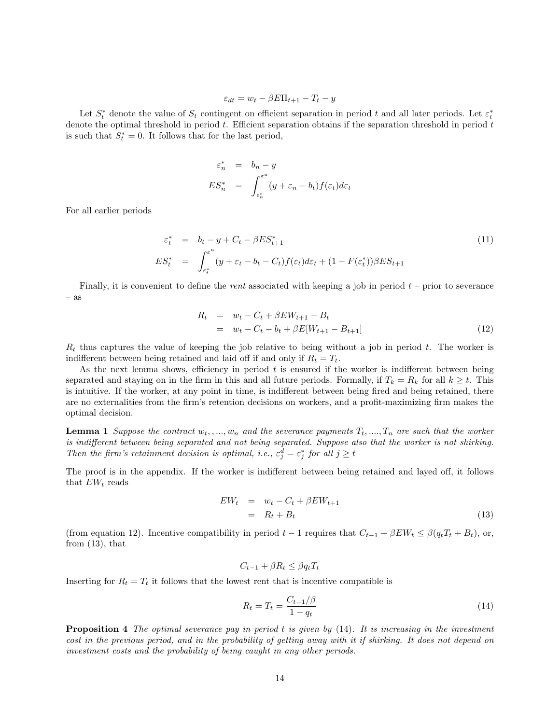$$
\varepsilon_{dt} = w_t - \beta E \Pi_{t+1} - T_t - y
$$

Let  $S_t^*$  denote the value of  $S_t$  contingent on efficient separation in period t and all later periods. Let  $\varepsilon_t^*$ denote the optimal threshold in period  $t$ . Efficient separation obtains if the separation threshold in period  $t$ is such that  $S_t^* = 0$ . It follows that for the last period,

$$
\varepsilon_n^* = b_n - y
$$
  
\n
$$
ES_n^* = \int_{\varepsilon_n^*}^{\varepsilon^n} (y + \varepsilon_n - b_t) f(\varepsilon_t) d\varepsilon_t
$$

For all earlier periods

$$
\varepsilon_t^* = b_t - y + C_t - \beta E S_{t+1}^*
$$
\n
$$
E S_t^* = \int_{\epsilon_t^*}^{\varepsilon^u} (y + \varepsilon_t - b_t - C_t) f(\varepsilon_t) d\varepsilon_t + (1 - F(\varepsilon_t^*)) \beta E S_{t+1}
$$
\n
$$
(11)
$$

Finally, it is convenient to define the *rent* associated with keeping a job in period  $t$  – prior to severance – as

$$
R_t = w_t - C_t + \beta E W_{t+1} - B_t
$$
  
=  $w_t - C_t - b_t + \beta E[W_{t+1} - B_{t+1}]$  (12)

 $R_t$  thus captures the value of keeping the job relative to being without a job in period t. The worker is indifferent between being retained and laid off if and only if  $R_t = T_t$ .

As the next lemma shows, efficiency in period  $t$  is ensured if the worker is indifferent between being separated and staying on in the firm in this and all future periods. Formally, if  $T_k = R_k$  for all  $k \geq t$ . This is intuitive. If the worker, at any point in time, is indifferent between being fired and being retained, there are no externalities from the firm's retention decisions on workers, and a profit-maximizing firm makes the optimal decision.

**Lemma 1** Suppose the contract  $w_t, ..., w_n$  and the severance payments  $T_t, ..., T_n$  are such that the worker is indifferent between being separated and not being separated. Suppose also that the worker is not shirking. Then the firm's retainment decision is optimal, i.e.,  $\varepsilon_j^d = \varepsilon_j^*$  for all  $j \geq t$ 

The proof is in the appendix. If the worker is indifferent between being retained and layed off, it follows that  $EW_t$  reads

$$
EW_t = w_t - C_t + \beta EW_{t+1}
$$
  
=  $R_t + B_t$  (13)

(from equation 12). Incentive compatibility in period  $t - 1$  requires that  $C_{t-1} + \beta E W_t \leq \beta (q_t T_t + B_t)$ , or, from  $(13)$ , that

$$
C_{t-1} + \beta R_t \le \beta q_t T_t
$$

Inserting for  $R_t = T_t$  it follows that the lowest rent that is incentive compatible is

$$
R_t = T_t = \frac{C_{t-1}/\beta}{1 - q_t}
$$
\n(14)

**Proposition 4** The optimal severance pay in period t is given by  $(14)$ . It is increasing in the investment cost in the previous period, and in the probability of getting away with it if shirking. It does not depend on investment costs and the probability of being caught in any other periods.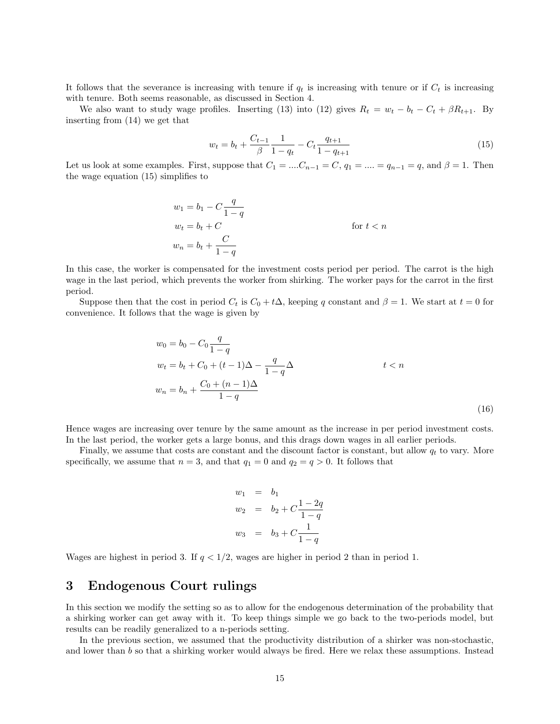It follows that the severance is increasing with tenure if  $q_t$  is increasing with tenure or if  $C_t$  is increasing with tenure. Both seems reasonable, as discussed in Section 4.

We also want to study wage profiles. Inserting (13) into (12) gives  $R_t = w_t - b_t - C_t + \beta R_{t+1}$ . By inserting from (14) we get that

$$
w_t = b_t + \frac{C_{t-1}}{\beta} \frac{1}{1 - q_t} - C_t \frac{q_{t+1}}{1 - q_{t+1}}
$$
\n
$$
\tag{15}
$$

Let us look at some examples. First, suppose that  $C_1 = ... C_{n-1} = C$ ,  $q_1 = ... = q_{n-1} = q$ , and  $\beta = 1$ . Then the wage equation (15) simplifies to

$$
w_1 = b_1 - C \frac{q}{1-q}
$$
  
\n
$$
w_t = b_t + C
$$
  
\n
$$
w_n = b_t + \frac{C}{1-q}
$$
  
\nfor  $t < n$ 

In this case, the worker is compensated for the investment costs period per period. The carrot is the high wage in the last period, which prevents the worker from shirking. The worker pays for the carrot in the first period.

Suppose then that the cost in period  $C_t$  is  $C_0 + t\Delta$ , keeping q constant and  $\beta = 1$ . We start at  $t = 0$  for convenience. It follows that the wage is given by

$$
w_0 = b_0 - C_0 \frac{q}{1-q}
$$
  
\n
$$
w_t = b_t + C_0 + (t-1)\Delta - \frac{q}{1-q}\Delta
$$
  
\n
$$
w_n = b_n + \frac{C_0 + (n-1)\Delta}{1-q}
$$
  
\n
$$
(16)
$$

Hence wages are increasing over tenure by the same amount as the increase in per period investment costs. In the last period, the worker gets a large bonus, and this drags down wages in all earlier periods.

Finally, we assume that costs are constant and the discount factor is constant, but allow  $q_t$  to vary. More specifically, we assume that  $n = 3$ , and that  $q_1 = 0$  and  $q_2 = q > 0$ . It follows that

$$
w_1 = b_1
$$
  
\n
$$
w_2 = b_2 + C \frac{1 - 2q}{1 - q}
$$
  
\n
$$
w_3 = b_3 + C \frac{1}{1 - q}
$$

Wages are highest in period 3. If  $q < 1/2$ , wages are higher in period 2 than in period 1.

# 3 Endogenous Court rulings

In this section we modify the setting so as to allow for the endogenous determination of the probability that a shirking worker can get away with it. To keep things simple we go back to the two-periods model, but results can be readily generalized to a n-periods setting.

In the previous section, we assumed that the productivity distribution of a shirker was non-stochastic, and lower than b so that a shirking worker would always be fired. Here we relax these assumptions. Instead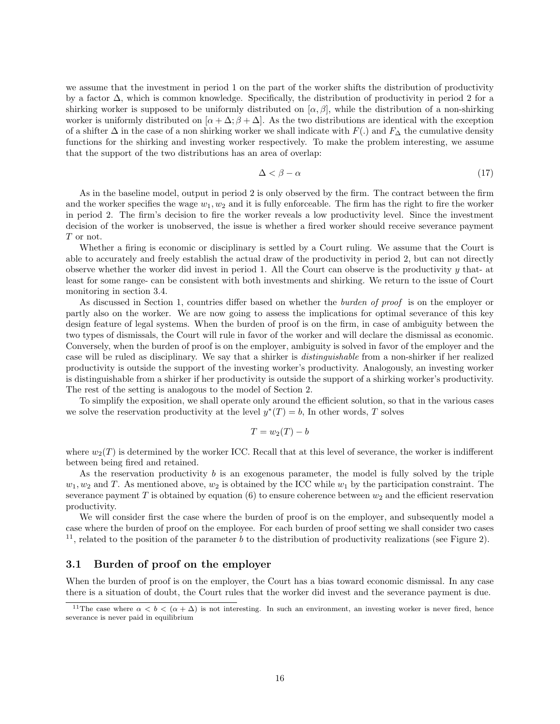we assume that the investment in period 1 on the part of the worker shifts the distribution of productivity by a factor ∆, which is common knowledge. Specifically, the distribution of productivity in period 2 for a shirking worker is supposed to be uniformly distributed on  $\alpha, \beta$ , while the distribution of a non-shirking worker is uniformly distributed on  $[\alpha + \Delta; \beta + \Delta]$ . As the two distributions are identical with the exception of a shifter  $\Delta$  in the case of a non shirking worker we shall indicate with  $F(.)$  and  $F_{\Delta}$  the cumulative density functions for the shirking and investing worker respectively. To make the problem interesting, we assume that the support of the two distributions has an area of overlap:

$$
\Delta < \beta - \alpha \tag{17}
$$

As in the baseline model, output in period 2 is only observed by the firm. The contract between the firm and the worker specifies the wage  $w_1, w_2$  and it is fully enforceable. The firm has the right to fire the worker in period 2. The firm's decision to fire the worker reveals a low productivity level. Since the investment decision of the worker is unobserved, the issue is whether a fired worker should receive severance payment T or not.

Whether a firing is economic or disciplinary is settled by a Court ruling. We assume that the Court is able to accurately and freely establish the actual draw of the productivity in period 2, but can not directly observe whether the worker did invest in period 1. All the Court can observe is the productivity  $y$  that- at least for some range- can be consistent with both investments and shirking. We return to the issue of Court monitoring in section 3.4.

As discussed in Section 1, countries differ based on whether the *burden of proof* is on the employer or partly also on the worker. We are now going to assess the implications for optimal severance of this key design feature of legal systems. When the burden of proof is on the firm, in case of ambiguity between the two types of dismissals, the Court will rule in favor of the worker and will declare the dismissal as economic. Conversely, when the burden of proof is on the employer, ambiguity is solved in favor of the employer and the case will be ruled as disciplinary. We say that a shirker is distinguishable from a non-shirker if her realized productivity is outside the support of the investing worker's productivity. Analogously, an investing worker is distinguishable from a shirker if her productivity is outside the support of a shirking worker's productivity. The rest of the setting is analogous to the model of Section 2.

To simplify the exposition, we shall operate only around the efficient solution, so that in the various cases we solve the reservation productivity at the level  $y^*(T) = b$ , In other words, T solves

$$
T = w_2(T) - b
$$

where  $w_2(T)$  is determined by the worker ICC. Recall that at this level of severance, the worker is indifferent between being fired and retained.

As the reservation productivity  $b$  is an exogenous parameter, the model is fully solved by the triple  $w_1, w_2$  and T. As mentioned above,  $w_2$  is obtained by the ICC while  $w_1$  by the participation constraint. The severance payment T is obtained by equation (6) to ensure coherence between  $w_2$  and the efficient reservation productivity.

We will consider first the case where the burden of proof is on the employer, and subsequently model a case where the burden of proof on the employee. For each burden of proof setting we shall consider two cases  $11$ , related to the position of the parameter b to the distribution of productivity realizations (see Figure 2).

### 3.1 Burden of proof on the employer

When the burden of proof is on the employer, the Court has a bias toward economic dismissal. In any case there is a situation of doubt, the Court rules that the worker did invest and the severance payment is due.

<sup>&</sup>lt;sup>11</sup>The case where  $\alpha < b < (\alpha + \Delta)$  is not interesting. In such an environment, an investing worker is never fired, hence severance is never paid in equilibrium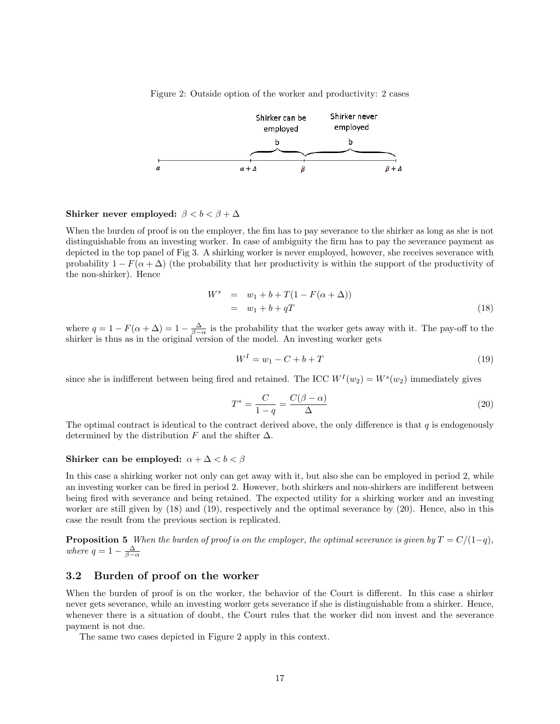Figure 2: Outside option of the worker and productivity: 2 cases



### Shirker never employed:  $\beta < b < \beta + \Delta$

When the burden of proof is on the employer, the fim has to pay severance to the shirker as long as she is not distinguishable from an investing worker. In case of ambiguity the firm has to pay the severance payment as depicted in the top panel of Fig 3. A shirking worker is never employed, however, she receives severance with probability  $1 - F(\alpha + \Delta)$  (the probability that her productivity is within the support of the productivity of the non-shirker). Hence

$$
W^{s} = w_{1} + b + T(1 - F(\alpha + \Delta))
$$
  
= w\_{1} + b + qT (18)

where  $q = 1 - F(\alpha + \Delta) = 1 - \frac{\Delta}{\beta - \alpha}$  is the probability that the worker gets away with it. The pay-off to the shirker is thus as in the original version of the model. An investing worker gets

$$
W^{I} = w_{1} - C + b + T \tag{19}
$$

since she is indifferent between being fired and retained. The ICC  $W^I(w_2) = W^s(w_2)$  immediately gives

$$
T^* = \frac{C}{1-q} = \frac{C(\beta - \alpha)}{\Delta} \tag{20}
$$

The optimal contract is identical to the contract derived above, the only difference is that  $q$  is endogenously determined by the distribution F and the shifter  $\Delta$ .

#### Shirker can be employed:  $\alpha + \Delta < b < \beta$

In this case a shirking worker not only can get away with it, but also she can be employed in period 2, while an investing worker can be fired in period 2. However, both shirkers and non-shirkers are indifferent between being fired with severance and being retained. The expected utility for a shirking worker and an investing worker are still given by (18) and (19), respectively and the optimal severance by (20). Hence, also in this case the result from the previous section is replicated.

**Proposition 5** When the burden of proof is on the employer, the optimal severance is given by  $T = C/(1-q)$ , where  $q = 1 - \frac{\Delta}{\beta - \alpha}$ 

### 3.2 Burden of proof on the worker

When the burden of proof is on the worker, the behavior of the Court is different. In this case a shirker never gets severance, while an investing worker gets severance if she is distinguishable from a shirker. Hence, whenever there is a situation of doubt, the Court rules that the worker did non invest and the severance payment is not due.

The same two cases depicted in Figure 2 apply in this context.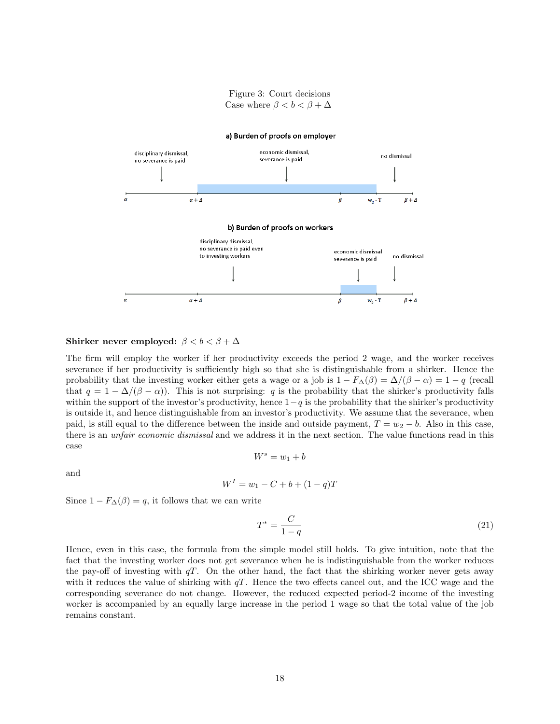Figure 3: Court decisions Case where  $\beta < b < \beta + \Delta$ 



#### Shirker never employed:  $\beta < b < \beta + \Delta$

The firm will employ the worker if her productivity exceeds the period 2 wage, and the worker receives severance if her productivity is sufficiently high so that she is distinguishable from a shirker. Hence the probability that the investing worker either gets a wage or a job is  $1 - F_{\Delta}(\beta) = \Delta/(\beta - \alpha) = 1 - q$  (recall that  $q = 1 - \Delta/(\beta - \alpha)$ . This is not surprising: q is the probability that the shirker's productivity falls within the support of the investor's productivity, hence  $1-q$  is the probability that the shirker's productivity is outside it, and hence distinguishable from an investor's productivity. We assume that the severance, when paid, is still equal to the difference between the inside and outside payment,  $T = w_2 - b$ . Also in this case, there is an *unfair economic dismissal* and we address it in the next section. The value functions read in this case  $W^s = w_1 + b$ 

and

$$
W^{I} = w_{1} - C + b + (1 - q)T
$$

Since  $1 - F_{\Delta}(\beta) = q$ , it follows that we can write

$$
T^* = \frac{C}{1-q} \tag{21}
$$

Hence, even in this case, the formula from the simple model still holds. To give intuition, note that the fact that the investing worker does not get severance when he is indistinguishable from the worker reduces the pay-off of investing with  $qT$ . On the other hand, the fact that the shirking worker never gets away with it reduces the value of shirking with  $qT$ . Hence the two effects cancel out, and the ICC wage and the corresponding severance do not change. However, the reduced expected period-2 income of the investing worker is accompanied by an equally large increase in the period 1 wage so that the total value of the job remains constant.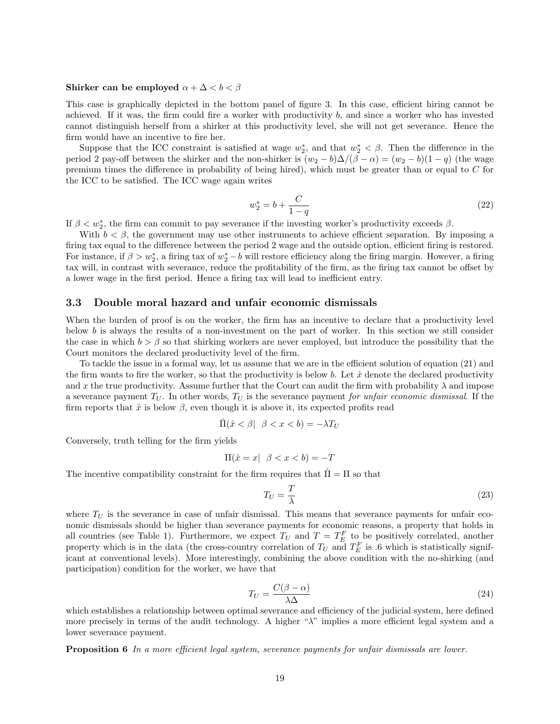#### Shirker can be employed  $\alpha + \Delta < b < \beta$

This case is graphically depicted in the bottom panel of figure 3. In this case, efficient hiring cannot be achieved. If it was, the firm could fire a worker with productivity b, and since a worker who has invested cannot distinguish herself from a shirker at this productivity level, she will not get severance. Hence the firm would have an incentive to fire her.

Suppose that the ICC constraint is satisfied at wage  $w_2^*$ , and that  $w_2^* < \beta$ . Then the difference in the period 2 pay-off between the shirker and the non-shirker is  $(w_2 - b)\Delta/(\beta - \alpha) = (w_2 - b)(1 - q)$  (the wage premium times the difference in probability of being hired), which must be greater than or equal to C for the ICC to be satisfied. The ICC wage again writes

$$
w_2^* = b + \frac{C}{1 - q} \tag{22}
$$

If  $\beta < w_2^*$ , the firm can commit to pay severance if the investing worker's productivity exceeds  $\beta$ .

With  $b < \beta$ , the government may use other instruments to achieve efficient separation. By imposing a firing tax equal to the difference between the period 2 wage and the outside option, efficient firing is restored. For instance, if  $\beta > w_2^*$ , a firing tax of  $w_2^* - b$  will restore efficiency along the firing margin. However, a firing tax will, in contrast with severance, reduce the profitability of the firm, as the firing tax cannot be offset by a lower wage in the first period. Hence a firing tax will lead to inefficient entry.

#### 3.3 Double moral hazard and unfair economic dismissals

When the burden of proof is on the worker, the firm has an incentive to declare that a productivity level below  $b$  is always the results of a non-investment on the part of worker. In this section we still consider the case in which  $b > \beta$  so that shirking workers are never employed, but introduce the possibility that the Court monitors the declared productivity level of the firm.

To tackle the issue in a formal way, let us assume that we are in the efficient solution of equation (21) and the firm wants to fire the worker, so that the productivity is below b. Let  $\hat{x}$  denote the declared productivity and x the true productivity. Assume further that the Court can audit the firm with probability  $\lambda$  and impose a severance payment  $T_U$ . In other words,  $T_U$  is the severance payment for unfair economic dismissal. If the firm reports that  $\hat{x}$  is below  $\beta$ , even though it is above it, its expected profits read

$$
\hat{\Pi}(\hat{x} < \beta \mid \beta < x < b) = -\lambda T_U
$$

Conversely, truth telling for the firm yields

$$
\Pi(\hat{x} = x \mid \beta < x < b) = -T
$$

The incentive compatibility constraint for the firm requires that  $\bar{\Pi} = \Pi$  so that

$$
T_U = \frac{T}{\lambda} \tag{23}
$$

where  $T_U$  is the severance in case of unfair dismissal. This means that severance payments for unfair economic dismissals should be higher than severance payments for economic reasons, a property that holds in all countries (see Table 1). Furthermore, we expect  $T_U$  and  $T = T_E^F$  to be positively correlated, another property which is in the data (the cross-country correlation of  $T_U$  and  $T_E^F$  is .6 which is statistically significant at conventional levels). More interestingly, combining the above condition with the no-shirking (and participation) condition for the worker, we have that

$$
T_U = \frac{C(\beta - \alpha)}{\lambda \Delta} \tag{24}
$$

which establishes a relationship between optimal severance and efficiency of the judicial system, here defined more precisely in terms of the audit technology. A higher " $\lambda$ " implies a more efficient legal system and a lower severance payment.

Proposition 6 In a more efficient legal system, severance payments for unfair dismissals are lower.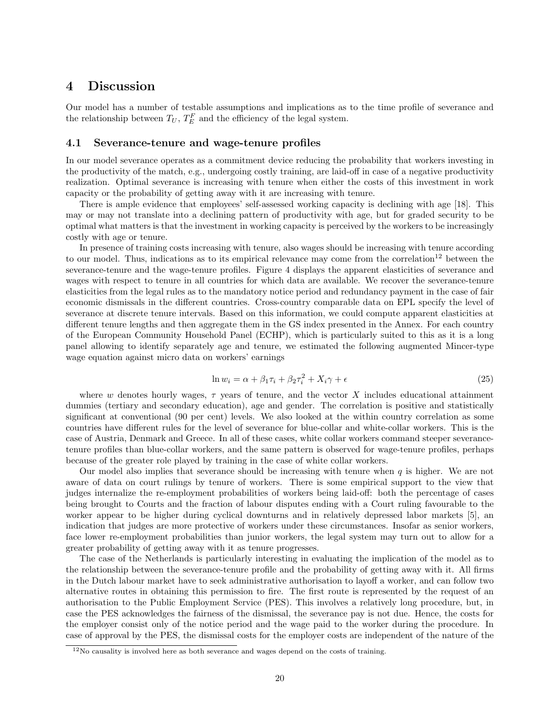# 4 Discussion

Our model has a number of testable assumptions and implications as to the time profile of severance and the relationship between  $T_U$ ,  $T_E^F$  and the efficiency of the legal system.

### 4.1 Severance-tenure and wage-tenure profiles

In our model severance operates as a commitment device reducing the probability that workers investing in the productivity of the match, e.g., undergoing costly training, are laid-off in case of a negative productivity realization. Optimal severance is increasing with tenure when either the costs of this investment in work capacity or the probability of getting away with it are increasing with tenure.

There is ample evidence that employees' self-assessed working capacity is declining with age [18]. This may or may not translate into a declining pattern of productivity with age, but for graded security to be optimal what matters is that the investment in working capacity is perceived by the workers to be increasingly costly with age or tenure.

In presence of training costs increasing with tenure, also wages should be increasing with tenure according to our model. Thus, indications as to its empirical relevance may come from the correlation<sup>12</sup> between the severance-tenure and the wage-tenure profiles. Figure 4 displays the apparent elasticities of severance and wages with respect to tenure in all countries for which data are available. We recover the severance-tenure elasticities from the legal rules as to the mandatory notice period and redundancy payment in the case of fair economic dismissals in the different countries. Cross-country comparable data on EPL specify the level of severance at discrete tenure intervals. Based on this information, we could compute apparent elasticities at different tenure lengths and then aggregate them in the GS index presented in the Annex. For each country of the European Community Household Panel (ECHP), which is particularly suited to this as it is a long panel allowing to identify separately age and tenure, we estimated the following augmented Mincer-type wage equation against micro data on workers' earnings

$$
\ln w_i = \alpha + \beta_1 \tau_i + \beta_2 \tau_i^2 + X_i \gamma + \epsilon \tag{25}
$$

where w denotes hourly wages,  $\tau$  years of tenure, and the vector X includes educational attainment dummies (tertiary and secondary education), age and gender. The correlation is positive and statistically significant at conventional (90 per cent) levels. We also looked at the within country correlation as some countries have different rules for the level of severance for blue-collar and white-collar workers. This is the case of Austria, Denmark and Greece. In all of these cases, white collar workers command steeper severancetenure profiles than blue-collar workers, and the same pattern is observed for wage-tenure profiles, perhaps because of the greater role played by training in the case of white collar workers.

Our model also implies that severance should be increasing with tenure when  $q$  is higher. We are not aware of data on court rulings by tenure of workers. There is some empirical support to the view that judges internalize the re-employment probabilities of workers being laid-off: both the percentage of cases being brought to Courts and the fraction of labour disputes ending with a Court ruling favourable to the worker appear to be higher during cyclical downturns and in relatively depressed labor markets [5], an indication that judges are more protective of workers under these circumstances. Insofar as senior workers, face lower re-employment probabilities than junior workers, the legal system may turn out to allow for a greater probability of getting away with it as tenure progresses.

The case of the Netherlands is particularly interesting in evaluating the implication of the model as to the relationship between the severance-tenure profile and the probability of getting away with it. All firms in the Dutch labour market have to seek administrative authorisation to layoff a worker, and can follow two alternative routes in obtaining this permission to fire. The first route is represented by the request of an authorisation to the Public Employment Service (PES). This involves a relatively long procedure, but, in case the PES acknowledges the fairness of the dismissal, the severance pay is not due. Hence, the costs for the employer consist only of the notice period and the wage paid to the worker during the procedure. In case of approval by the PES, the dismissal costs for the employer costs are independent of the nature of the

<sup>12</sup>No causality is involved here as both severance and wages depend on the costs of training.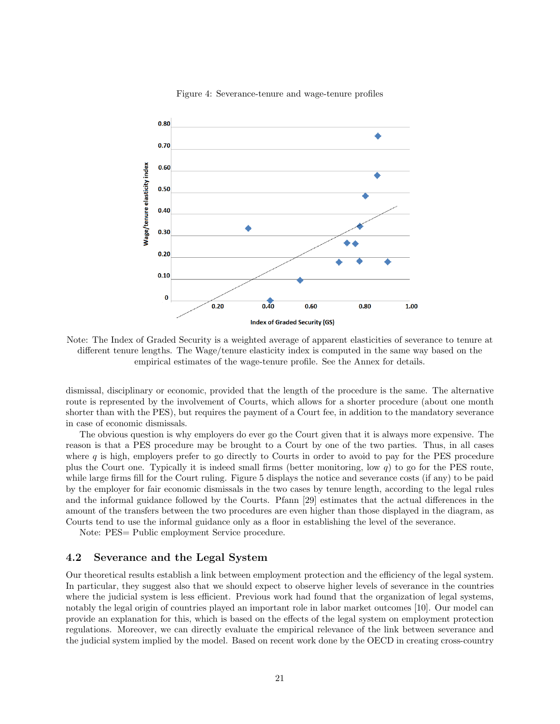

#### Figure 4: Severance-tenure and wage-tenure profiles

Note: The Index of Graded Security is a weighted average of apparent elasticities of severance to tenure at different tenure lengths. The Wage/tenure elasticity index is computed in the same way based on the empirical estimates of the wage-tenure profile. See the Annex for details.

dismissal, disciplinary or economic, provided that the length of the procedure is the same. The alternative route is represented by the involvement of Courts, which allows for a shorter procedure (about one month shorter than with the PES), but requires the payment of a Court fee, in addition to the mandatory severance in case of economic dismissals.

The obvious question is why employers do ever go the Court given that it is always more expensive. The reason is that a PES procedure may be brought to a Court by one of the two parties. Thus, in all cases where  $q$  is high, employers prefer to go directly to Courts in order to avoid to pay for the PES procedure plus the Court one. Typically it is indeed small firms (better monitoring, low  $q$ ) to go for the PES route, while large firms fill for the Court ruling. Figure 5 displays the notice and severance costs (if any) to be paid by the employer for fair economic dismissals in the two cases by tenure length, according to the legal rules and the informal guidance followed by the Courts. Pfann [29] estimates that the actual differences in the amount of the transfers between the two procedures are even higher than those displayed in the diagram, as Courts tend to use the informal guidance only as a floor in establishing the level of the severance.

Note: PES= Public employment Service procedure.

#### 4.2 Severance and the Legal System

Our theoretical results establish a link between employment protection and the efficiency of the legal system. In particular, they suggest also that we should expect to observe higher levels of severance in the countries where the judicial system is less efficient. Previous work had found that the organization of legal systems, notably the legal origin of countries played an important role in labor market outcomes [10]. Our model can provide an explanation for this, which is based on the effects of the legal system on employment protection regulations. Moreover, we can directly evaluate the empirical relevance of the link between severance and the judicial system implied by the model. Based on recent work done by the OECD in creating cross-country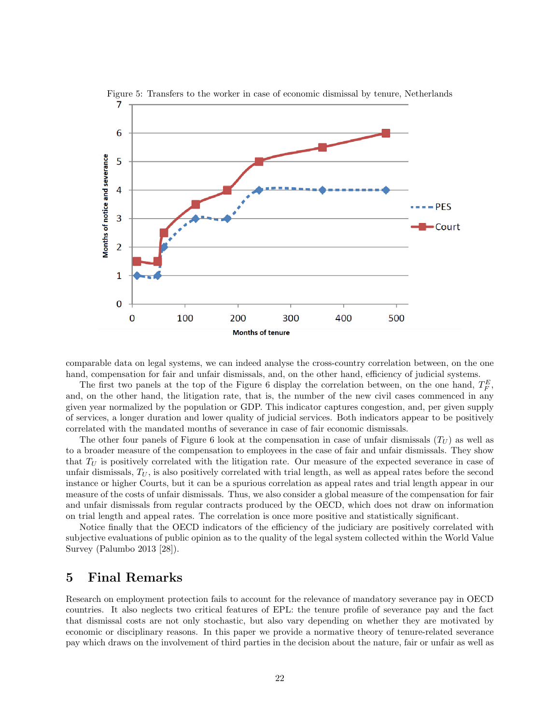

Figure 5: Transfers to the worker in case of economic dismissal by tenure, Netherlands

comparable data on legal systems, we can indeed analyse the cross-country correlation between, on the one hand, compensation for fair and unfair dismissals, and, on the other hand, efficiency of judicial systems.

The first two panels at the top of the Figure 6 display the correlation between, on the one hand,  $T_F^E$ , and, on the other hand, the litigation rate, that is, the number of the new civil cases commenced in any given year normalized by the population or GDP. This indicator captures congestion, and, per given supply of services, a longer duration and lower quality of judicial services. Both indicators appear to be positively correlated with the mandated months of severance in case of fair economic dismissals.

The other four panels of Figure 6 look at the compensation in case of unfair dismissals  $(T_U)$  as well as to a broader measure of the compensation to employees in the case of fair and unfair dismissals. They show that  $T_U$  is positively correlated with the litigation rate. Our measure of the expected severance in case of unfair dismissals,  $T_U$ , is also positively correlated with trial length, as well as appeal rates before the second instance or higher Courts, but it can be a spurious correlation as appeal rates and trial length appear in our measure of the costs of unfair dismissals. Thus, we also consider a global measure of the compensation for fair and unfair dismissals from regular contracts produced by the OECD, which does not draw on information on trial length and appeal rates. The correlation is once more positive and statistically significant.

Notice finally that the OECD indicators of the efficiency of the judiciary are positively correlated with subjective evaluations of public opinion as to the quality of the legal system collected within the World Value Survey (Palumbo 2013 [28]).

# 5 Final Remarks

Research on employment protection fails to account for the relevance of mandatory severance pay in OECD countries. It also neglects two critical features of EPL: the tenure profile of severance pay and the fact that dismissal costs are not only stochastic, but also vary depending on whether they are motivated by economic or disciplinary reasons. In this paper we provide a normative theory of tenure-related severance pay which draws on the involvement of third parties in the decision about the nature, fair or unfair as well as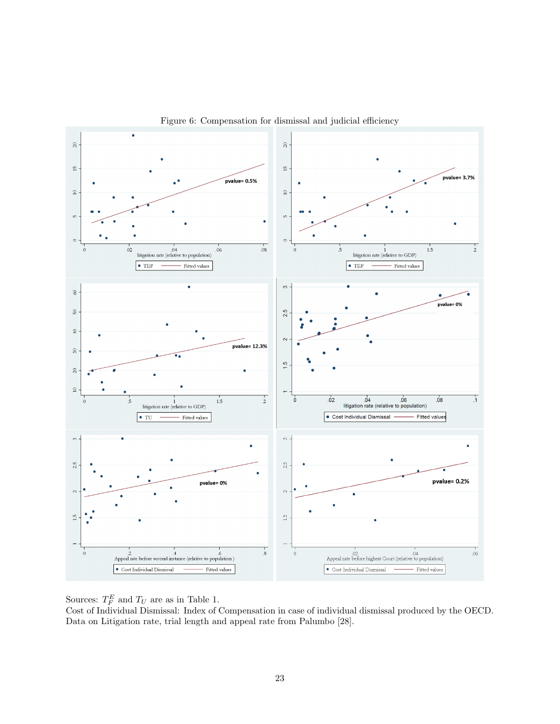

Figure 6: Compensation for dismissal and judicial efficiency

Sources:  $T_F^E$  and  $T_U$  are as in Table 1.

Cost of Individual Dismissal: Index of Compensation in case of individual dismissal produced by the OECD. Data on Litigation rate, trial length and appeal rate from Palumbo [28].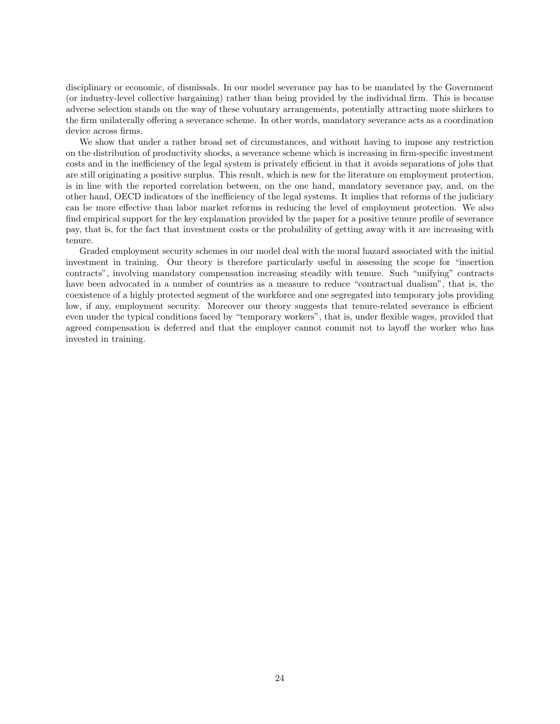disciplinary or economic, of dismissals. In our model severance pay has to be mandated by the Government (or industry-level collective bargaining) rather than being provided by the individual firm. This is because adverse selection stands on the way of these voluntary arrangements, potentially attracting more shirkers to the firm unilaterally offering a severance scheme. In other words, mandatory severance acts as a coordination device across firms.

We show that under a rather broad set of circumstances, and without having to impose any restriction on the distribution of productivity shocks, a severance scheme which is increasing in firm-specific investment costs and in the inefficiency of the legal system is privately efficient in that it avoids separations of jobs that are still originating a positive surplus. This result, which is new for the literature on employment protection, is in line with the reported correlation between, on the one hand, mandatory severance pay, and, on the other hand, OECD indicators of the inefficiency of the legal systems. It implies that reforms of the judiciary can be more effective than labor market reforms in reducing the level of employment protection. We also find empirical support for the key explanation provided by the paper for a positive tenure profile of severance pay, that is, for the fact that investment costs or the probability of getting away with it are increasing with tenure.

Graded employment security schemes in our model deal with the moral hazard associated with the initial investment in training. Our theory is therefore particularly useful in assessing the scope for "insertion contracts", involving mandatory compensation increasing steadily with tenure. Such "unifying" contracts have been advocated in a number of countries as a measure to reduce "contractual dualism", that is, the coexistence of a highly protected segment of the workforce and one segregated into temporary jobs providing low, if any, employment security. Moreover our theory suggests that tenure-related severance is efficient even under the typical conditions faced by "temporary workers", that is, under flexible wages, provided that agreed compensation is deferred and that the employer cannot commit not to layoff the worker who has invested in training.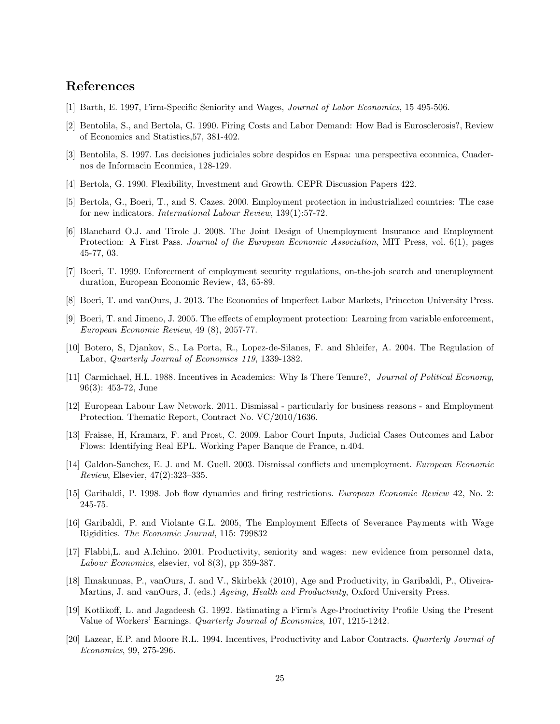# References

- [1] Barth, E. 1997, Firm-Specific Seniority and Wages, Journal of Labor Economics, 15 495-506.
- [2] Bentolila, S., and Bertola, G. 1990. Firing Costs and Labor Demand: How Bad is Eurosclerosis?, Review of Economics and Statistics,57, 381-402.
- [3] Bentolila, S. 1997. Las decisiones judiciales sobre despidos en Espaa: una perspectiva econmica, Cuadernos de Informacin Econmica, 128-129.
- [4] Bertola, G. 1990. Flexibility, Investment and Growth. CEPR Discussion Papers 422.
- [5] Bertola, G., Boeri, T., and S. Cazes. 2000. Employment protection in industrialized countries: The case for new indicators. International Labour Review, 139(1):57-72.
- [6] Blanchard O.J. and Tirole J. 2008. The Joint Design of Unemployment Insurance and Employment Protection: A First Pass. Journal of the European Economic Association, MIT Press, vol. 6(1), pages 45-77, 03.
- [7] Boeri, T. 1999. Enforcement of employment security regulations, on-the-job search and unemployment duration, European Economic Review, 43, 65-89.
- [8] Boeri, T. and vanOurs, J. 2013. The Economics of Imperfect Labor Markets, Princeton University Press.
- [9] Boeri, T. and Jimeno, J. 2005. The effects of employment protection: Learning from variable enforcement, European Economic Review, 49 (8), 2057-77.
- [10] Botero, S, Djankov, S., La Porta, R., Lopez-de-Silanes, F. and Shleifer, A. 2004. The Regulation of Labor, Quarterly Journal of Economics 119, 1339-1382.
- [11] Carmichael, H.L. 1988. Incentives in Academics: Why Is There Tenure?, Journal of Political Economy, 96(3): 453-72, June
- [12] European Labour Law Network. 2011. Dismissal particularly for business reasons and Employment Protection. Thematic Report, Contract No. VC/2010/1636.
- [13] Fraisse, H, Kramarz, F. and Prost, C. 2009. Labor Court Inputs, Judicial Cases Outcomes and Labor Flows: Identifying Real EPL. Working Paper Banque de France, n.404.
- [14] Galdon-Sanchez, E. J. and M. Guell. 2003. Dismissal conflicts and unemployment. European Economic Review, Elsevier, 47(2):323–335.
- [15] Garibaldi, P. 1998. Job flow dynamics and firing restrictions. European Economic Review 42, No. 2: 245-75.
- [16] Garibaldi, P. and Violante G.L. 2005, The Employment Effects of Severance Payments with Wage Rigidities. The Economic Journal, 115: 799832
- [17] Flabbi,L. and A.Ichino. 2001. Productivity, seniority and wages: new evidence from personnel data, Labour Economics, elsevier, vol 8(3), pp 359-387.
- [18] Ilmakunnas, P., vanOurs, J. and V., Skirbekk (2010), Age and Productivity, in Garibaldi, P., Oliveira-Martins, J. and vanOurs, J. (eds.) Ageing, Health and Productivity, Oxford University Press.
- [19] Kotlikoff, L. and Jagadeesh G. 1992. Estimating a Firm's Age-Productivity Profile Using the Present Value of Workers' Earnings. Quarterly Journal of Economics, 107, 1215-1242.
- [20] Lazear, E.P. and Moore R.L. 1994. Incentives, Productivity and Labor Contracts. Quarterly Journal of Economics, 99, 275-296.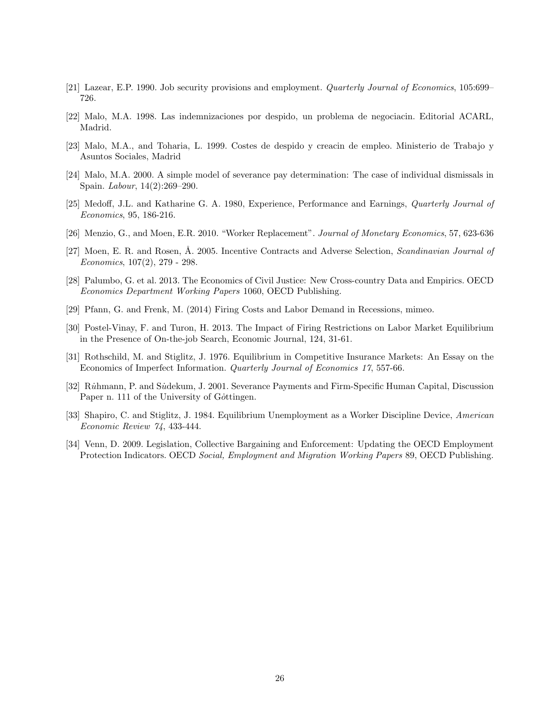- [21] Lazear, E.P. 1990. Job security provisions and employment. Quarterly Journal of Economics, 105:699– 726.
- [22] Malo, M.A. 1998. Las indemnizaciones por despido, un problema de negociacin. Editorial ACARL, Madrid.
- [23] Malo, M.A., and Toharia, L. 1999. Costes de despido y creacin de empleo. Ministerio de Trabajo y Asuntos Sociales, Madrid
- [24] Malo, M.A. 2000. A simple model of severance pay determination: The case of individual dismissals in Spain. Labour, 14(2):269–290.
- [25] Medoff, J.L. and Katharine G. A. 1980, Experience, Performance and Earnings, Quarterly Journal of Economics, 95, 186-216.
- [26] Menzio, G., and Moen, E.R. 2010. "Worker Replacement". Journal of Monetary Economics, 57, 623-636
- [27] Moen, E. R. and Rosen, Å. 2005. Incentive Contracts and Adverse Selection, Scandinavian Journal of Economics, 107(2), 279 - 298.
- [28] Palumbo, G. et al. 2013. The Economics of Civil Justice: New Cross-country Data and Empirics. OECD Economics Department Working Papers 1060, OECD Publishing.
- [29] Pfann, G. and Frenk, M. (2014) Firing Costs and Labor Demand in Recessions, mimeo.
- [30] Postel-Vinay, F. and Turon, H. 2013. The Impact of Firing Restrictions on Labor Market Equilibrium in the Presence of On-the-job Search, Economic Journal, 124, 31-61.
- [31] Rothschild, M. and Stiglitz, J. 1976. Equilibrium in Competitive Insurance Markets: An Essay on the Economics of Imperfect Information. Quarterly Journal of Economics 17, 557-66.
- [32] Ruhmann, P. and Sudekum, J. 2001. Severance Payments and Firm-Specific Human Capital, Discussion Paper n. 111 of the University of Gottingen.
- [33] Shapiro, C. and Stiglitz, J. 1984. Equilibrium Unemployment as a Worker Discipline Device, American Economic Review 74, 433-444.
- [34] Venn, D. 2009. Legislation, Collective Bargaining and Enforcement: Updating the OECD Employment Protection Indicators. OECD Social, Employment and Migration Working Papers 89, OECD Publishing.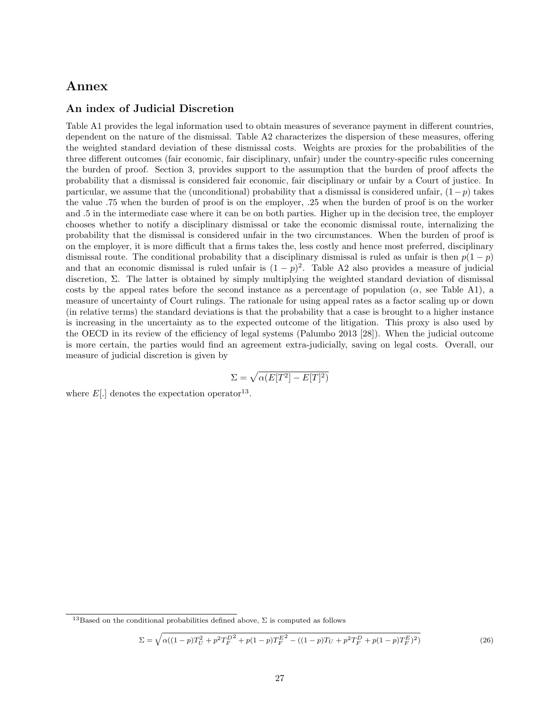# Annex

### An index of Judicial Discretion

Table A1 provides the legal information used to obtain measures of severance payment in different countries, dependent on the nature of the dismissal. Table A2 characterizes the dispersion of these measures, offering the weighted standard deviation of these dismissal costs. Weights are proxies for the probabilities of the three different outcomes (fair economic, fair disciplinary, unfair) under the country-specific rules concerning the burden of proof. Section 3, provides support to the assumption that the burden of proof affects the probability that a dismissal is considered fair economic, fair disciplinary or unfair by a Court of justice. In particular, we assume that the (unconditional) probability that a dismissal is considered unfair,  $(1 - p)$  takes the value .75 when the burden of proof is on the employer, .25 when the burden of proof is on the worker and .5 in the intermediate case where it can be on both parties. Higher up in the decision tree, the employer chooses whether to notify a disciplinary dismissal or take the economic dismissal route, internalizing the probability that the dismissal is considered unfair in the two circumstances. When the burden of proof is on the employer, it is more difficult that a firms takes the, less costly and hence most preferred, disciplinary dismissal route. The conditional probability that a disciplinary dismissal is ruled as unfair is then  $p(1 - p)$ and that an economic dismissal is ruled unfair is  $(1-p)^2$ . Table A2 also provides a measure of judicial discretion,  $\Sigma$ . The latter is obtained by simply multiplying the weighted standard deviation of dismissal costs by the appeal rates before the second instance as a percentage of population  $(\alpha, \text{ see Table A1})$ , a measure of uncertainty of Court rulings. The rationale for using appeal rates as a factor scaling up or down (in relative terms) the standard deviations is that the probability that a case is brought to a higher instance is increasing in the uncertainty as to the expected outcome of the litigation. This proxy is also used by the OECD in its review of the efficiency of legal systems (Palumbo 2013 [28]). When the judicial outcome is more certain, the parties would find an agreement extra-judicially, saving on legal costs. Overall, our measure of judicial discretion is given by

$$
\Sigma = \sqrt{\alpha(E[T^2] - E[T]^2)}
$$

where  $E[.]$  denotes the expectation operator<sup>13</sup>.

$$
\Sigma = \sqrt{\alpha((1-p)T_U^2 + p^2T_F^{D^2} + p(1-p)T_F^{E^2} - ((1-p)T_U + p^2T_F^D + p(1-p)T_F^E)^2)}
$$
(26)

<sup>&</sup>lt;sup>13</sup>Based on the conditional probabilities defined above,  $\Sigma$  is computed as follows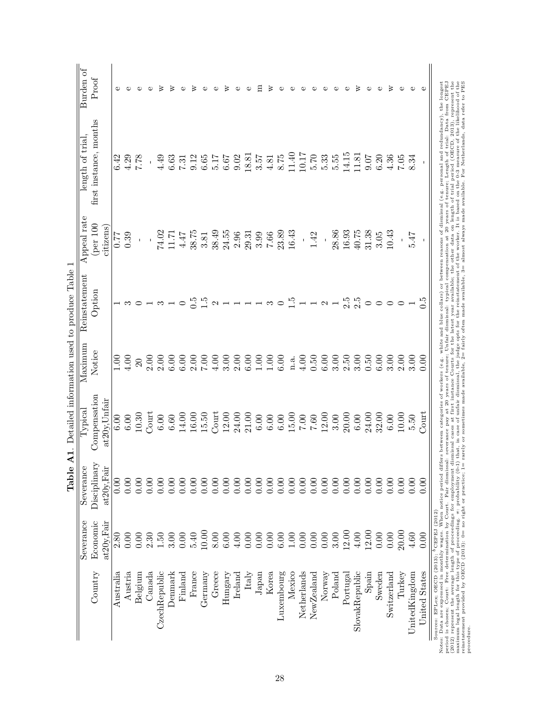|                      |                                                                     | Table                                       |                                                                                                                                                                                                                                                                |                  | <b>A1.</b> Detailed information used to produce Table 1 |                       |                                                            |           |
|----------------------|---------------------------------------------------------------------|---------------------------------------------|----------------------------------------------------------------------------------------------------------------------------------------------------------------------------------------------------------------------------------------------------------------|------------------|---------------------------------------------------------|-----------------------|------------------------------------------------------------|-----------|
|                      | Severance                                                           | Severance                                   | $Ty$ pica $\overline{\phantom{a}}$                                                                                                                                                                                                                             | Maximum          | Reinstatement                                           | Appeal rate           | length of tria                                             | Burden of |
| Country              | Economic<br>at20y, Fair                                             | Disciplinary<br>$\ddot{ }$<br>$at20y$ , Fai | Compensation<br>at20y, Unfair                                                                                                                                                                                                                                  | Notice           | Option                                                  | (per 100<br>citizens  | first instance, months                                     | Proof     |
| Australia            | 2.80                                                                | 0.00                                        | 6.00                                                                                                                                                                                                                                                           | $1.00$           |                                                         | 77                    |                                                            |           |
| Austria              | 0.00                                                                | 0.00                                        | $6.00\,$                                                                                                                                                                                                                                                       | 4.00             |                                                         | 0.39                  | 6.42<br>4.718<br>7.78                                      |           |
| Belgium              | 0.00                                                                | 0.00                                        | 10.30                                                                                                                                                                                                                                                          | 20               |                                                         |                       |                                                            |           |
| Canada               | 2.30                                                                |                                             | Court                                                                                                                                                                                                                                                          | 2.00             |                                                         |                       |                                                            |           |
| CzechRepublic        | 1.50                                                                | 0.000                                       | $6.00\,$                                                                                                                                                                                                                                                       | 2.00             |                                                         |                       |                                                            |           |
| Denmark              | 3.00                                                                |                                             | $6.60\,$                                                                                                                                                                                                                                                       | 6.00             |                                                         | 74.02<br>11.71        |                                                            |           |
| Finland              |                                                                     |                                             | 14.00                                                                                                                                                                                                                                                          | 6.00             |                                                         | 4.47                  | $4.49$<br>$6.31$<br>$7.312$<br>$6.517$<br>$6.67$<br>$6.67$ |           |
| France               | 0.00000                                                             |                                             | 16.00                                                                                                                                                                                                                                                          | $2.00$<br>$7.00$ |                                                         | 38.75                 |                                                            |           |
| Germany              | 10.00                                                               |                                             | 15.50                                                                                                                                                                                                                                                          |                  | $\frac{5}{1.5}$                                         | 3.81                  |                                                            |           |
| Greece               | $\phantom{0}8.00$                                                   |                                             | $\overline{\mathrm{Count}}$                                                                                                                                                                                                                                    | 4.00             | $\sim$ $-$                                              | 38.49                 |                                                            |           |
| $\rm{Hungary}$       |                                                                     |                                             | 12.00                                                                                                                                                                                                                                                          | 3.00             |                                                         | 24.55                 |                                                            |           |
| Ireland              | $6.00$<br>4.00                                                      |                                             | 24.00                                                                                                                                                                                                                                                          | 2.00             |                                                         | 2.96                  | 9.02                                                       |           |
| Italy                | $\begin{array}{c} 0.00 \\ 0.00 \\ 0.00 \\ 6.00 \\ 1.00 \end{array}$ |                                             | 21.00                                                                                                                                                                                                                                                          | 6.00             |                                                         | 29.31                 |                                                            |           |
| Japan                |                                                                     |                                             |                                                                                                                                                                                                                                                                | 1.00             |                                                         | 3.99                  |                                                            |           |
| Korea                |                                                                     |                                             |                                                                                                                                                                                                                                                                | 1.00             |                                                         | $7.66\,$              | $\frac{18.81}{3.57}$<br>4.81<br>8.75                       |           |
| Luxembourg           |                                                                     |                                             |                                                                                                                                                                                                                                                                | 6.00             |                                                         | 23.89                 |                                                            |           |
| Mexico               |                                                                     |                                             |                                                                                                                                                                                                                                                                | n.a.             | ت<br>1                                                  | 16.43                 | 11.40                                                      |           |
| Netherlands          | 0.00                                                                |                                             |                                                                                                                                                                                                                                                                | 4.00             |                                                         |                       | 10.17                                                      |           |
| NewZealand           |                                                                     |                                             |                                                                                                                                                                                                                                                                | 0.50             | $\rightarrow$ $\sim$ $\rightarrow$                      | 1.42                  | $5.70\,$                                                   |           |
| Norway               | $0.00$<br>$3.00$                                                    |                                             |                                                                                                                                                                                                                                                                | 6.00             |                                                         |                       | $5.33$<br>$5.55$                                           |           |
| Poland               |                                                                     |                                             |                                                                                                                                                                                                                                                                | 3.00             |                                                         |                       |                                                            |           |
| Portugal             | 12.00                                                               |                                             |                                                                                                                                                                                                                                                                | 2.50             |                                                         |                       | 14.15                                                      |           |
| SlovakRepublic       | $4.00$                                                              |                                             | $\begin{array}{l} 0.00000\\ 0.0000000\\ 0.0000000\\ 0.000000\\ 0.000000\\ 0.00000\\ 0.00000\\ 0.00000\\ 0.00000\\ 0.00000\\ 0.00000\\ 0.00000\\ 0.00000\\ 0.00000\\ 0.00000\\ 0.00000\\ 0.00000\\ 0.00000\\ 0.00000\\ 0.00000\\ 0.00000\\ 0.00000\\ 0.00000\\$ | 3.00             | 2.5                                                     | $\frac{28.86}{16.93}$ | 11.81                                                      |           |
| Spain                | 12.00                                                               | 0.00                                        | 24.00                                                                                                                                                                                                                                                          | 0.50             | $\circ$                                                 | 31.38                 | 9.07                                                       |           |
| Sweden               | $0.00$                                                              | 0.00000                                     | 32.00                                                                                                                                                                                                                                                          | 6.00             |                                                         | 3.05                  | 6.20                                                       |           |
| Switzerland          | 0.00                                                                |                                             | $6.00\,$                                                                                                                                                                                                                                                       | 3.00             |                                                         | 10.43                 | 4.36                                                       | ⋗         |
| Turkey               | 20.00                                                               | 0.00                                        | 10.00                                                                                                                                                                                                                                                          | 2.00             |                                                         | í,                    | $7.05$<br>8.34                                             | Ф         |
| <b>JnitedKingdom</b> | $4.60\,$                                                            | 0.00                                        | 5.50                                                                                                                                                                                                                                                           | 3.00             |                                                         | 547                   |                                                            | Φ         |
| United States        | $0.00$                                                              | 0.00                                        | Court                                                                                                                                                                                                                                                          | 0.00             | $\overline{0}$                                          |                       |                                                            | Φ         |

Notes: Data are react solution, where with a being herive differs between categories of workers (e.g. white and blue collars) or between reasons of dismissal (e.g. personal and redundancy), the longest Notes. Data are rea period is chosen; Court: Free determination by Court: Fair dismissal: severance pay at 20 years of tenure; Length of tenure; Length of tenure; Length of tenure; Length of tenure; Length of tenure; Length of trial: Data fro (2012) represent the average length of proceedings for employment dismissal cases at first instance Courts for the latest year available; the other data on length of trial period (OECD, 2013), represent the maximum legal length for this type of proceeding.  $\pi$ : probability (0-1) that, in case of unfair dismissal, the judge opts for the reinstatement of the worker. It is based on the 0-3 measure of the likelihood of the

procedure.

reinstatement provided by OECD (2013): 0= no right or practice; 1= rarely or sometimes made available, 2= fairly often made available, 3= almost always made available. For Netherlands, data refer to PES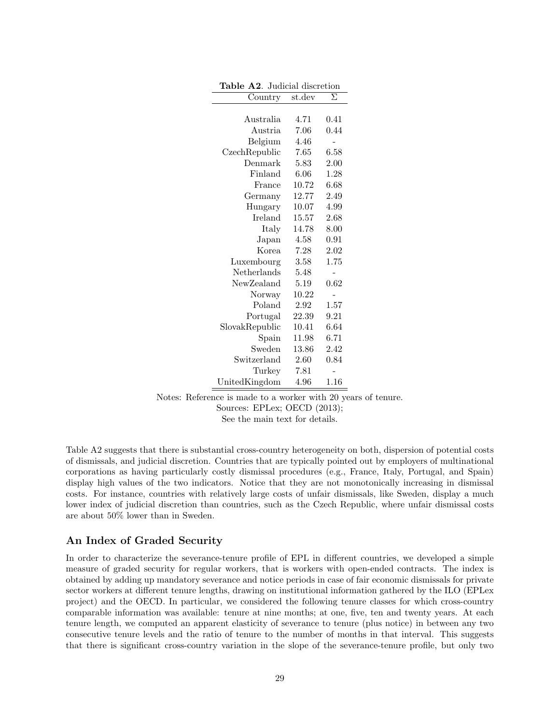| Table A2. Judicial discretion |        |          |  |
|-------------------------------|--------|----------|--|
| Country                       | st.dev | Σ        |  |
|                               |        |          |  |
| Australia                     | 4.71   | 0.41     |  |
| Austria                       | 7.06   | 0.44     |  |
| Belgium                       | 4.46   |          |  |
| CzechRepublic                 | 7.65   | $6.58\,$ |  |
| Denmark                       | 5.83   | 2.00     |  |
| Finland                       | 6.06   | 1.28     |  |
| France                        | 10.72  | $6.68\,$ |  |
| Germany                       | 12.77  | 2.49     |  |
| Hungary                       | 10.07  | 4.99     |  |
| Ireland                       | 15.57  | 2.68     |  |
| Italy                         | 14.78  | 8.00     |  |
| Japan                         | 4.58   | 0.91     |  |
| Korea                         | 7.28   | 2.02     |  |
| Luxembourg                    | 3.58   | 1.75     |  |
| Netherlands                   | 5.48   |          |  |
| NewZealand                    | 5.19   | 0.62     |  |
| Norway                        | 10.22  |          |  |
| Poland                        | 2.92   | 1.57     |  |
| Portugal                      | 22.39  | 9.21     |  |
| SlovakRepublic                | 10.41  | $6.64\,$ |  |
| $S$ pain                      | 11.98  | 6.71     |  |
| Sweden                        | 13.86  | 2.42     |  |
| Switzerland                   | 2.60   | $0.84\,$ |  |
| Turkey                        | 7.81   |          |  |
| UnitedKingdom                 | 4.96   | $1.16\,$ |  |

Notes: Reference is made to a worker with 20 years of tenure.

Sources: EPLex; OECD (2013);

See the main text for details.

Table A2 suggests that there is substantial cross-country heterogeneity on both, dispersion of potential costs of dismissals, and judicial discretion. Countries that are typically pointed out by employers of multinational corporations as having particularly costly dismissal procedures (e.g., France, Italy, Portugal, and Spain) display high values of the two indicators. Notice that they are not monotonically increasing in dismissal costs. For instance, countries with relatively large costs of unfair dismissals, like Sweden, display a much lower index of judicial discretion than countries, such as the Czech Republic, where unfair dismissal costs are about 50% lower than in Sweden.

# An Index of Graded Security

In order to characterize the severance-tenure profile of EPL in different countries, we developed a simple measure of graded security for regular workers, that is workers with open-ended contracts. The index is obtained by adding up mandatory severance and notice periods in case of fair economic dismissals for private sector workers at different tenure lengths, drawing on institutional information gathered by the ILO (EPLex project) and the OECD. In particular, we considered the following tenure classes for which cross-country comparable information was available: tenure at nine months; at one, five, ten and twenty years. At each tenure length, we computed an apparent elasticity of severance to tenure (plus notice) in between any two consecutive tenure levels and the ratio of tenure to the number of months in that interval. This suggests that there is significant cross-country variation in the slope of the severance-tenure profile, but only two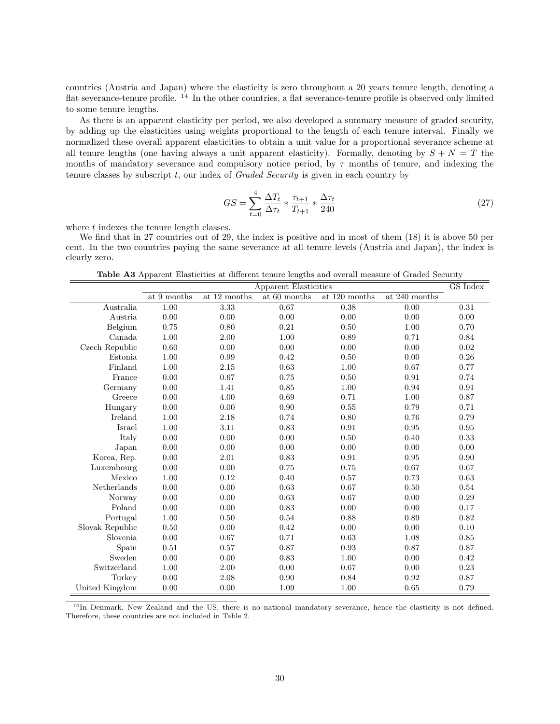countries (Austria and Japan) where the elasticity is zero throughout a 20 years tenure length, denoting a flat severance-tenure profile. <sup>14</sup> In the other countries, a flat severance-tenure profile is observed only limited to some tenure lengths.

As there is an apparent elasticity per period, we also developed a summary measure of graded security, by adding up the elasticities using weights proportional to the length of each tenure interval. Finally we normalized these overall apparent elasticities to obtain a unit value for a proportional severance scheme at all tenure lengths (one having always a unit apparent elasticity). Formally, denoting by  $S + N = T$  the months of mandatory severance and compulsory notice period, by  $\tau$  months of tenure, and indexing the tenure classes by subscript  $t$ , our index of *Graded Security* is given in each country by

$$
GS = \sum_{t=0}^{4} \frac{\Delta T_t}{\Delta \tau_t} * \frac{\tau_{t+1}}{T_{t+1}} * \frac{\Delta \tau_t}{240}
$$
\n(27)

where  $t$  indexes the tenure length classes.

We find that in 27 countries out of 29, the index is positive and in most of them (18) it is above 50 per cent. In the two countries paying the same severance at all tenure levels (Austria and Japan), the index is clearly zero.

Table A3 Apparent Elasticities at different tenure lengths and overall measure of Graded Security

|                 | Apparent Elasticities |              |              |               |               | GS Index |
|-----------------|-----------------------|--------------|--------------|---------------|---------------|----------|
|                 | at 9 months           | at 12 months | at 60 months | at 120 months | at 240 months |          |
| Australia       | $1.00\,$              | 3.33         | 0.67         | 0.38          | 0.00          | 0.31     |
| Austria         | 0.00                  | 0.00         | 0.00         | 0.00          | 0.00          | 0.00     |
| Belgium         | 0.75                  | 0.80         | 0.21         | 0.50          | 1.00          | 0.70     |
| Canada          | 1.00                  | 2.00         | 1.00         | 0.89          | 0.71          | 0.84     |
| Czech Republic  | 0.60                  | 0.00         | 0.00         | 0.00          | 0.00          | $0.02\,$ |
| Estonia         | 1.00                  | 0.99         | 0.42         | 0.50          | 0.00          | 0.26     |
| Finland         | 1.00                  | 2.15         | 0.63         | 1.00          | 0.67          | 0.77     |
| France          | 0.00                  | 0.67         | 0.75         | 0.50          | 0.91          | 0.74     |
| Germany         | 0.00                  | 1.41         | 0.85         | $1.00\,$      | 0.94          | 0.91     |
| Greece          | 0.00                  | 4.00         | 0.69         | 0.71          | 1.00          | 0.87     |
| Hungary         | 0.00                  | 0.00         | 0.90         | 0.55          | 0.79          | 0.71     |
| Ireland         | 1.00                  | 2.18         | 0.74         | 0.80          | 0.76          | 0.79     |
| Israel          | 1.00                  | 3.11         | 0.83         | 0.91          | $\rm 0.95$    | 0.95     |
| Italy           | 0.00                  | 0.00         | 0.00         | 0.50          | 0.40          | 0.33     |
| Japan           | 0.00                  | 0.00         | 0.00         | 0.00          | 0.00          | 0.00     |
| Korea, Rep.     | 0.00                  | 2.01         | 0.83         | 0.91          | $\,0.95\,$    | 0.90     |
| Luxembourg      | 0.00                  | 0.00         | 0.75         | 0.75          | 0.67          | 0.67     |
| Mexico          | 1.00                  | 0.12         | 0.40         | 0.57          | 0.73          | 0.63     |
| Netherlands     | 0.00                  | 0.00         | 0.63         | 0.67          | 0.50          | 0.54     |
| Norway          | 0.00                  | 0.00         | 0.63         | 0.67          | 0.00          | 0.29     |
| Poland          | 0.00                  | 0.00         | 0.83         | 0.00          | 0.00          | 0.17     |
| Portugal        | 1.00                  | 0.50         | 0.54         | 0.88          | 0.89          | 0.82     |
| Slovak Republic | 0.50                  | 0.00         | 0.42         | 0.00          | 0.00          | 0.10     |
| Slovenia        | 0.00                  | 0.67         | 0.71         | 0.63          | 1.08          | 0.85     |
| Spain           | 0.51                  | 0.57         | 0.87         | 0.93          | 0.87          | 0.87     |
| Sweden          | 0.00                  | 0.00         | 0.83         | 1.00          | 0.00          | 0.42     |
| Switzerland     | 1.00                  | 2.00         | 0.00         | 0.67          | 0.00          | 0.23     |
| Turkey          | 0.00                  | 2.08         | 0.90         | 0.84          | 0.92          | 0.87     |
| United Kingdom  | 0.00                  | 0.00         | 1.09         | 1.00          | 0.65          | 0.79     |

<sup>14</sup>In Denmark, New Zealand and the US, there is no national mandatory severance, hence the elasticity is not defined. Therefore, these countries are not included in Table 2.